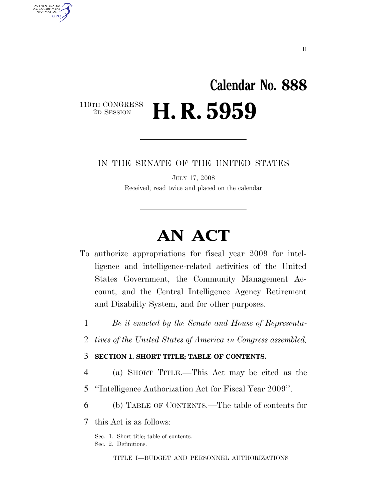## **Calendar No. 888**  110TH CONGRESS<br>2D SESSION H. R. 5959

IN THE SENATE OF THE UNITED STATES

JULY 17, 2008 Received; read twice and placed on the calendar

# **AN ACT**

- To authorize appropriations for fiscal year 2009 for intelligence and intelligence-related activities of the United States Government, the Community Management Account, and the Central Intelligence Agency Retirement and Disability System, and for other purposes.
	- 1 *Be it enacted by the Senate and House of Representa-*
	- 2 *tives of the United States of America in Congress assembled,*

### 3 **SECTION 1. SHORT TITLE; TABLE OF CONTENTS.**

- 4 (a) SHORT TITLE.—This Act may be cited as the
- 5 ''Intelligence Authorization Act for Fiscal Year 2009''.
- 6 (b) TABLE OF CONTENTS.—The table of contents for

7 this Act is as follows:

AUTHENTICATED U.S. GOVERNMENT **GPO** 

> Sec. 1. Short title; table of contents. Sec. 2. Definitions.

> > TITLE I—BUDGET AND PERSONNEL AUTHORIZATIONS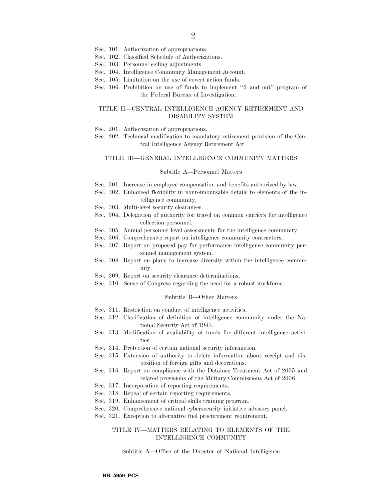- Sec. 101. Authorization of appropriations.
- Sec. 102. Classified Schedule of Authorizations.
- Sec. 103. Personnel ceiling adjustments.
- Sec. 104. Intelligence Community Management Account.
- Sec. 105. Limitation on the use of covert action funds.
- Sec. 106. Prohibition on use of funds to implement "5 and out" program of the Federal Bureau of Investigation.

#### TITLE II—CENTRAL INTELLIGENCE AGENCY RETIREMENT AND DISABILITY SYSTEM

- Sec. 201. Authorization of appropriations.
- Sec. 202. Technical modification to mandatory retirement provision of the Central Intelligence Agency Retirement Act.

#### TITLE III—GENERAL INTELLIGENCE COMMUNITY MATTERS

#### Subtitle A—Personnel Matters

- Sec. 301. Increase in employee compensation and benefits authorized by law.
- Sec. 302. Enhanced flexibility in nonreimbursable details to elements of the intelligence community.
- Sec. 303. Multi-level security clearances.
- Sec. 304. Delegation of authority for travel on common carriers for intelligence collection personnel.
- Sec. 305. Annual personnel level assessments for the intelligence community.
- Sec. 306. Comprehensive report on intelligence community contractors.
- Sec. 307. Report on proposed pay for performance intelligence community personnel management system.
- Sec. 308. Report on plans to increase diversity within the intelligence community.
- Sec. 309. Report on security clearance determinations.
- Sec. 310. Sense of Congress regarding the need for a robust workforce.

#### Subtitle B—Other Matters

- Sec. 311. Restriction on conduct of intelligence activities.
- Sec. 312. Clarification of definition of intelligence community under the National Security Act of 1947.
- Sec. 313. Modification of availability of funds for different intelligence activities.
- Sec. 314. Protection of certain national security information.
- Sec. 315. Extension of authority to delete information about receipt and disposition of foreign gifts and decorations.
- Sec. 316. Report on compliance with the Detainee Treatment Act of 2005 and related provisions of the Military Commissions Act of 2006.
- Sec. 317. Incorporation of reporting requirements.
- Sec. 318. Repeal of certain reporting requirements.
- Sec. 319. Enhancement of critical skills training program.
- Sec. 320. Comprehensive national cybersecurity initiative advisory panel.
- Sec. 321. Exception to alternative fuel procurement requirement.

#### TITLE IV—MATTERS RELATING TO ELEMENTS OF THE INTELLIGENCE COMMUNITY

Subtitle A—Office of the Director of National Intelligence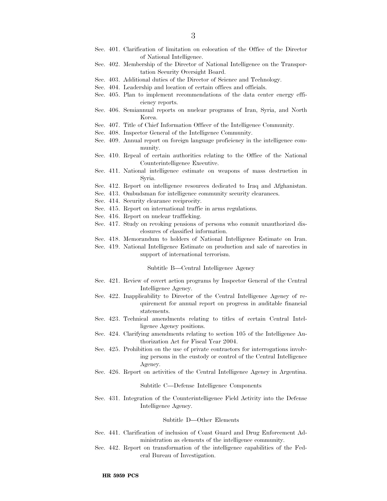- Sec. 401. Clarification of limitation on colocation of the Office of the Director of National Intelligence.
- Sec. 402. Membership of the Director of National Intelligence on the Transportation Security Oversight Board.
- Sec. 403. Additional duties of the Director of Science and Technology.
- Sec. 404. Leadership and location of certain offices and officials.
- Sec. 405. Plan to implement recommendations of the data center energy efficiency reports.
- Sec. 406. Semiannual reports on nuclear programs of Iran, Syria, and North Korea.
- Sec. 407. Title of Chief Information Officer of the Intelligence Community.
- Sec. 408. Inspector General of the Intelligence Community.
- Sec. 409. Annual report on foreign language proficiency in the intelligence community.
- Sec. 410. Repeal of certain authorities relating to the Office of the National Counterintelligence Executive.
- Sec. 411. National intelligence estimate on weapons of mass destruction in Syria.
- Sec. 412. Report on intelligence resources dedicated to Iraq and Afghanistan.
- Sec. 413. Ombudsman for intelligence community security clearances.
- Sec. 414. Security clearance reciprocity.
- Sec. 415. Report on international traffic in arms regulations.
- Sec. 416. Report on nuclear trafficking.
- Sec. 417. Study on revoking pensions of persons who commit unauthorized disclosures of classified information.
- Sec. 418. Memorandum to holders of National Intelligence Estimate on Iran.
- Sec. 419. National Intelligence Estimate on production and sale of narcotics in support of international terrorism.

Subtitle B—Central Intelligence Agency

- Sec. 421. Review of covert action programs by Inspector General of the Central Intelligence Agency.
- Sec. 422. Inapplicability to Director of the Central Intelligence Agency of requirement for annual report on progress in auditable financial statements.
- Sec. 423. Technical amendments relating to titles of certain Central Intelligence Agency positions.
- Sec. 424. Clarifying amendments relating to section 105 of the Intelligence Authorization Act for Fiscal Year 2004.
- Sec. 425. Prohibition on the use of private contractors for interrogations involving persons in the custody or control of the Central Intelligence Agency.
- Sec. 426. Report on activities of the Central Intelligence Agency in Argentina.

Subtitle C—Defense Intelligence Components

Sec. 431. Integration of the Counterintelligence Field Activity into the Defense Intelligence Agency.

#### Subtitle D—Other Elements

- Sec. 441. Clarification of inclusion of Coast Guard and Drug Enforcement Administration as elements of the intelligence community.
- Sec. 442. Report on transformation of the intelligence capabilities of the Federal Bureau of Investigation.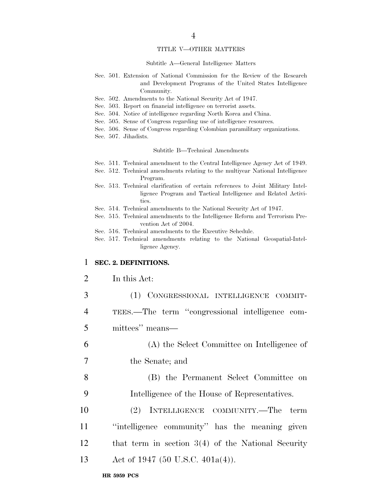#### TITLE V—OTHER MATTERS

#### Subtitle A—General Intelligence Matters

- Sec. 501. Extension of National Commission for the Review of the Research and Development Programs of the United States Intelligence Community.
- Sec. 502. Amendments to the National Security Act of 1947.
- Sec. 503. Report on financial intelligence on terrorist assets.
- Sec. 504. Notice of intelligence regarding North Korea and China.
- Sec. 505. Sense of Congress regarding use of intelligence resources.
- Sec. 506. Sense of Congress regarding Colombian paramilitary organizations.
- Sec. 507. Jihadists.

#### Subtitle B—Technical Amendments

- Sec. 511. Technical amendment to the Central Intelligence Agency Act of 1949.
- Sec. 512. Technical amendments relating to the multiyear National Intelligence Program.
- Sec. 513. Technical clarification of certain references to Joint Military Intelligence Program and Tactical Intelligence and Related Activities.
- Sec. 514. Technical amendments to the National Security Act of 1947.
- Sec. 515. Technical amendments to the Intelligence Reform and Terrorism Prevention Act of 2004.
- Sec. 516. Technical amendments to the Executive Schedule.
- Sec. 517. Technical amendments relating to the National Geospatial-Intelligence Agency.

#### 1 **SEC. 2. DEFINITIONS.**

#### 2 In this Act:

 (1) CONGRESSIONAL INTELLIGENCE COMMIT- TEES.—The term ''congressional intelligence com- mittees'' means— (A) the Select Committee on Intelligence of the Senate; and (B) the Permanent Select Committee on Intelligence of the House of Representatives. (2) INTELLIGENCE COMMUNITY.—The term ''intelligence community'' has the meaning given that term in section 3(4) of the National Security 13 Act of 1947 (50 U.S.C. 401a(4)).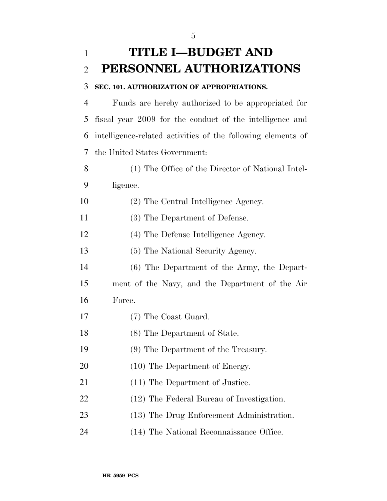## **SEC. 101. AUTHORIZATION OF APPROPRIATIONS.**

 Funds are hereby authorized to be appropriated for fiscal year 2009 for the conduct of the intelligence and intelligence-related activities of the following elements of the United States Government:

- (1) The Office of the Director of National Intel-ligence.
- (2) The Central Intelligence Agency.
- (3) The Department of Defense.
- (4) The Defense Intelligence Agency.
- (5) The National Security Agency.
- (6) The Department of the Army, the Depart-
- ment of the Navy, and the Department of the Air Force.
- (7) The Coast Guard.
- (8) The Department of State.
- (9) The Department of the Treasury.
- 20 (10) The Department of Energy.
- 21 (11) The Department of Justice.
- (12) The Federal Bureau of Investigation.
- 23 (13) The Drug Enforcement Administration.
- (14) The National Reconnaissance Office.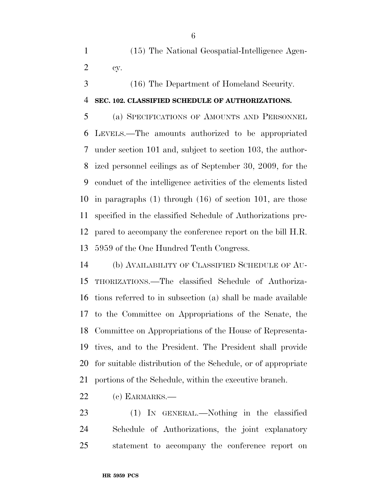(15) The National Geospatial-Intelligence Agen-cy.

(16) The Department of Homeland Security.

### **SEC. 102. CLASSIFIED SCHEDULE OF AUTHORIZATIONS.**

 (a) SPECIFICATIONS OF AMOUNTS AND PERSONNEL LEVELS.—The amounts authorized to be appropriated under section 101 and, subject to section 103, the author- ized personnel ceilings as of September 30, 2009, for the conduct of the intelligence activities of the elements listed in paragraphs (1) through (16) of section 101, are those specified in the classified Schedule of Authorizations pre- pared to accompany the conference report on the bill H.R. 5959 of the One Hundred Tenth Congress.

 (b) AVAILABILITY OF CLASSIFIED SCHEDULE OF AU- THORIZATIONS.—The classified Schedule of Authoriza- tions referred to in subsection (a) shall be made available to the Committee on Appropriations of the Senate, the Committee on Appropriations of the House of Representa- tives, and to the President. The President shall provide for suitable distribution of the Schedule, or of appropriate portions of the Schedule, within the executive branch.

(c) EARMARKS.—

 (1) IN GENERAL.—Nothing in the classified Schedule of Authorizations, the joint explanatory statement to accompany the conference report on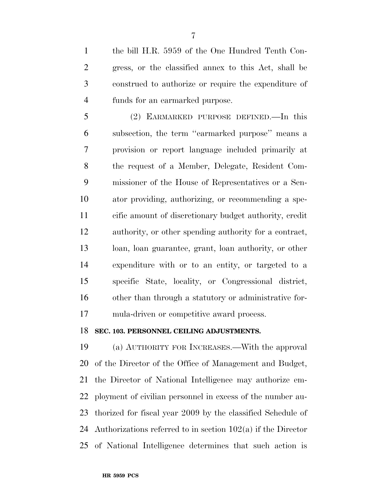the bill H.R. 5959 of the One Hundred Tenth Con- gress, or the classified annex to this Act, shall be construed to authorize or require the expenditure of funds for an earmarked purpose.

 (2) EARMARKED PURPOSE DEFINED.—In this subsection, the term ''earmarked purpose'' means a provision or report language included primarily at the request of a Member, Delegate, Resident Com- missioner of the House of Representatives or a Sen- ator providing, authorizing, or recommending a spe- cific amount of discretionary budget authority, credit authority, or other spending authority for a contract, loan, loan guarantee, grant, loan authority, or other expenditure with or to an entity, or targeted to a specific State, locality, or Congressional district, other than through a statutory or administrative for-mula-driven or competitive award process.

### **SEC. 103. PERSONNEL CEILING ADJUSTMENTS.**

 (a) AUTHORITY FOR INCREASES.—With the approval of the Director of the Office of Management and Budget, the Director of National Intelligence may authorize em- ployment of civilian personnel in excess of the number au- thorized for fiscal year 2009 by the classified Schedule of Authorizations referred to in section 102(a) if the Director of National Intelligence determines that such action is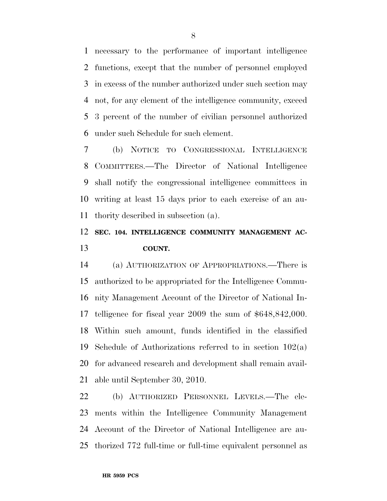necessary to the performance of important intelligence functions, except that the number of personnel employed in excess of the number authorized under such section may not, for any element of the intelligence community, exceed 3 percent of the number of civilian personnel authorized under such Schedule for such element.

 (b) NOTICE TO CONGRESSIONAL INTELLIGENCE COMMITTEES.—The Director of National Intelligence shall notify the congressional intelligence committees in writing at least 15 days prior to each exercise of an au-thority described in subsection (a).

### **SEC. 104. INTELLIGENCE COMMUNITY MANAGEMENT AC-COUNT.**

 (a) AUTHORIZATION OF APPROPRIATIONS.—There is authorized to be appropriated for the Intelligence Commu- nity Management Account of the Director of National In- telligence for fiscal year 2009 the sum of \$648,842,000. Within such amount, funds identified in the classified Schedule of Authorizations referred to in section 102(a) for advanced research and development shall remain avail-able until September 30, 2010.

 (b) AUTHORIZED PERSONNEL LEVELS.—The ele- ments within the Intelligence Community Management Account of the Director of National Intelligence are au-thorized 772 full-time or full-time equivalent personnel as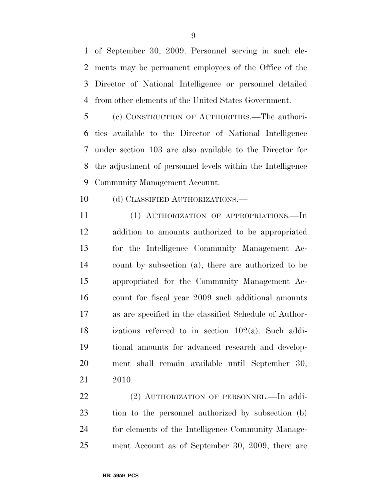of September 30, 2009. Personnel serving in such ele- ments may be permanent employees of the Office of the Director of National Intelligence or personnel detailed from other elements of the United States Government.

 (c) CONSTRUCTION OF AUTHORITIES.—The authori- ties available to the Director of National Intelligence under section 103 are also available to the Director for the adjustment of personnel levels within the Intelligence Community Management Account.

10 (d) CLASSIFIED AUTHORIZATIONS.—

 (1) AUTHORIZATION OF APPROPRIATIONS.—In addition to amounts authorized to be appropriated for the Intelligence Community Management Ac- count by subsection (a), there are authorized to be appropriated for the Community Management Ac- count for fiscal year 2009 such additional amounts as are specified in the classified Schedule of Author- izations referred to in section 102(a). Such addi- tional amounts for advanced research and develop- ment shall remain available until September 30, 2010.

22 (2) AUTHORIZATION OF PERSONNEL.—In addi- tion to the personnel authorized by subsection (b) for elements of the Intelligence Community Manage-ment Account as of September 30, 2009, there are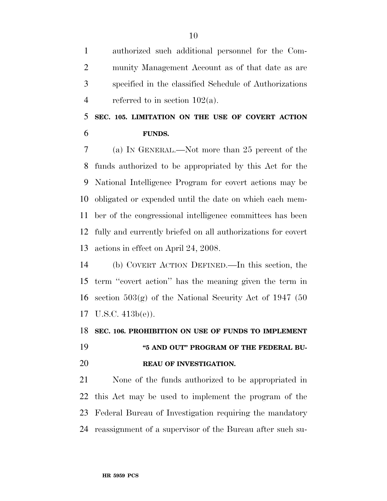authorized such additional personnel for the Com- munity Management Account as of that date as are specified in the classified Schedule of Authorizations 4 referred to in section  $102(a)$ .

 **SEC. 105. LIMITATION ON THE USE OF COVERT ACTION FUNDS.** 

 (a) IN GENERAL.—Not more than 25 percent of the funds authorized to be appropriated by this Act for the National Intelligence Program for covert actions may be obligated or expended until the date on which each mem- ber of the congressional intelligence committees has been fully and currently briefed on all authorizations for covert actions in effect on April 24, 2008.

 (b) COVERT ACTION DEFINED.—In this section, the term ''covert action'' has the meaning given the term in section 503(g) of the National Security Act of 1947 (50 U.S.C. 413b(e)).

 **SEC. 106. PROHIBITION ON USE OF FUNDS TO IMPLEMENT ''5 AND OUT" PROGRAM OF THE FEDERAL BU-REAU OF INVESTIGATION.** 

 None of the funds authorized to be appropriated in this Act may be used to implement the program of the Federal Bureau of Investigation requiring the mandatory reassignment of a supervisor of the Bureau after such su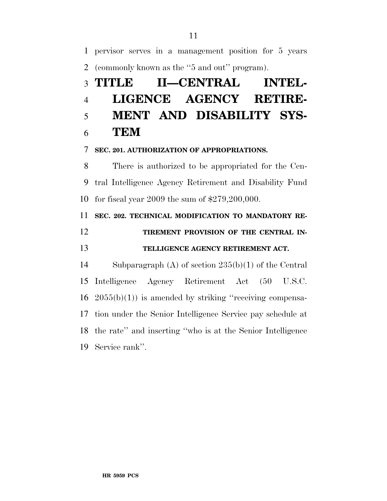pervisor serves in a management position for 5 years (commonly known as the ''5 and out'' program).

# **TITLE II—CENTRAL INTEL- LIGENCE AGENCY RETIRE- MENT AND DISABILITY SYS-TEM**

### **SEC. 201. AUTHORIZATION OF APPROPRIATIONS.**

 There is authorized to be appropriated for the Cen- tral Intelligence Agency Retirement and Disability Fund for fiscal year 2009 the sum of \$279,200,000.

# **SEC. 202. TECHNICAL MODIFICATION TO MANDATORY RE-TIREMENT PROVISION OF THE CENTRAL IN-**

### **TELLIGENCE AGENCY RETIREMENT ACT.**

 Subparagraph (A) of section 235(b)(1) of the Central Intelligence Agency Retirement Act (50 U.S.C.  $16\quad 2055(b)(1)$  is amended by striking "receiving compensa- tion under the Senior Intelligence Service pay schedule at the rate'' and inserting ''who is at the Senior Intelligence Service rank''.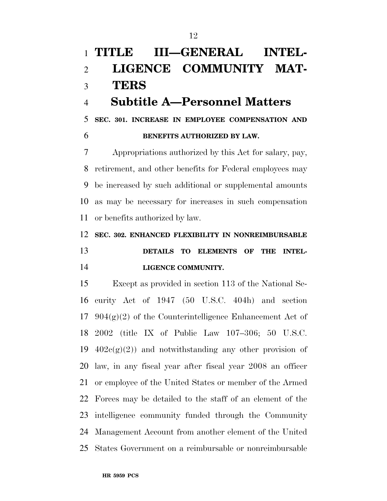# **TITLE III—GENERAL INTEL- LIGENCE COMMUNITY MAT-TERS**

## **Subtitle A—Personnel Matters**

**SEC. 301. INCREASE IN EMPLOYEE COMPENSATION AND** 

### **BENEFITS AUTHORIZED BY LAW.**

 Appropriations authorized by this Act for salary, pay, retirement, and other benefits for Federal employees may be increased by such additional or supplemental amounts as may be necessary for increases in such compensation or benefits authorized by law.

### **SEC. 302. ENHANCED FLEXIBILITY IN NONREIMBURSABLE**

## **DETAILS TO ELEMENTS OF THE INTEL-LIGENCE COMMUNITY.**

 Except as provided in section 113 of the National Se- curity Act of 1947 (50 U.S.C. 404h) and section 17 904 $(g)(2)$  of the Counterintelligence Enhancement Act of 2002 (title IX of Public Law 107–306; 50 U.S.C.  $402c(g)(2)$  and notwithstanding any other provision of law, in any fiscal year after fiscal year 2008 an officer or employee of the United States or member of the Armed Forces may be detailed to the staff of an element of the intelligence community funded through the Community Management Account from another element of the United States Government on a reimbursable or nonreimbursable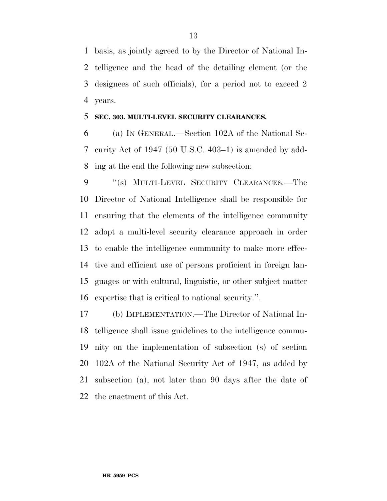basis, as jointly agreed to by the Director of National In- telligence and the head of the detailing element (or the designees of such officials), for a period not to exceed 2 years.

### **SEC. 303. MULTI-LEVEL SECURITY CLEARANCES.**

 (a) IN GENERAL.—Section 102A of the National Se- curity Act of 1947 (50 U.S.C. 403–1) is amended by add-ing at the end the following new subsection:

9 "(s) MULTI-LEVEL SECURITY CLEARANCES.—The Director of National Intelligence shall be responsible for ensuring that the elements of the intelligence community adopt a multi-level security clearance approach in order to enable the intelligence community to make more effec- tive and efficient use of persons proficient in foreign lan- guages or with cultural, linguistic, or other subject matter expertise that is critical to national security.''.

 (b) IMPLEMENTATION.—The Director of National In- telligence shall issue guidelines to the intelligence commu- nity on the implementation of subsection (s) of section 102A of the National Security Act of 1947, as added by subsection (a), not later than 90 days after the date of the enactment of this Act.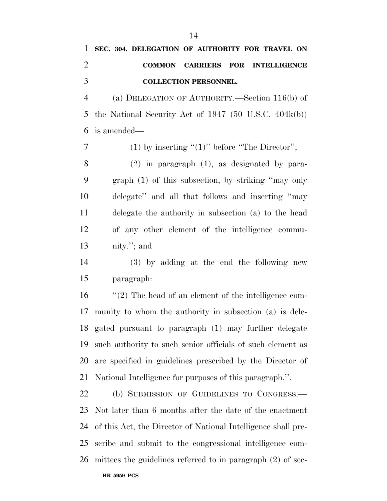## **SEC. 304. DELEGATION OF AUTHORITY FOR TRAVEL ON COMMON CARRIERS FOR INTELLIGENCE COLLECTION PERSONNEL.**

 (a) DELEGATION OF AUTHORITY.—Section 116(b) of the National Security Act of 1947 (50 U.S.C. 404k(b)) is amended—

7 (1) by inserting  $"(1)"$  before "The Director";

 (2) in paragraph (1), as designated by para- graph (1) of this subsection, by striking ''may only delegate'' and all that follows and inserting ''may delegate the authority in subsection (a) to the head of any other element of the intelligence commu-nity.''; and

 (3) by adding at the end the following new paragraph:

 ''(2) The head of an element of the intelligence com- munity to whom the authority in subsection (a) is dele- gated pursuant to paragraph (1) may further delegate such authority to such senior officials of such element as are specified in guidelines prescribed by the Director of National Intelligence for purposes of this paragraph.''.

 (b) SUBMISSION OF GUIDELINES TO CONGRESS.— Not later than 6 months after the date of the enactment of this Act, the Director of National Intelligence shall pre- scribe and submit to the congressional intelligence com-mittees the guidelines referred to in paragraph (2) of sec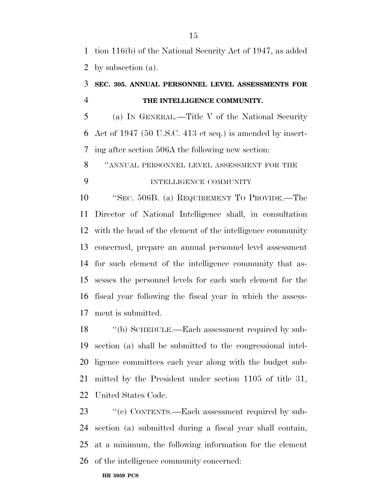tion 116(b) of the National Security Act of 1947, as added by subsection (a).

## **SEC. 305. ANNUAL PERSONNEL LEVEL ASSESSMENTS FOR THE INTELLIGENCE COMMUNITY.**

 (a) IN GENERAL.—Title V of the National Security Act of 1947 (50 U.S.C. 413 et seq.) is amended by insert-ing after section 506A the following new section:

 ''ANNUAL PERSONNEL LEVEL ASSESSMENT FOR THE INTELLIGENCE COMMUNITY

 ''SEC. 506B. (a) REQUIREMENT TO PROVIDE.—The Director of National Intelligence shall, in consultation with the head of the element of the intelligence community concerned, prepare an annual personnel level assessment for such element of the intelligence community that as- sesses the personnel levels for each such element for the fiscal year following the fiscal year in which the assess-ment is submitted.

18 "(b) SCHEDULE.—Each assessment required by sub- section (a) shall be submitted to the congressional intel- ligence committees each year along with the budget sub- mitted by the President under section 1105 of title 31, United States Code.

23 " (c) CONTENTS.—Each assessment required by sub- section (a) submitted during a fiscal year shall contain, at a minimum, the following information for the element of the intelligence community concerned: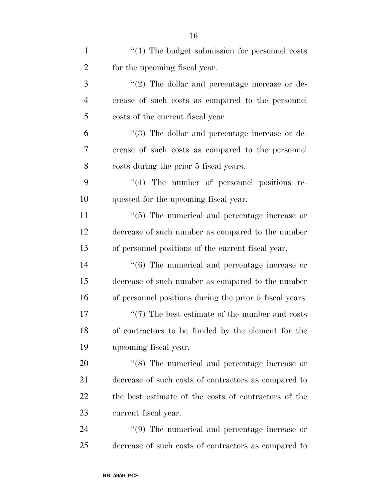| $\mathbf{1}$   | $``(1)$ The budget submission for personnel costs       |
|----------------|---------------------------------------------------------|
| $\overline{2}$ | for the upcoming fiscal year.                           |
| 3              | $\lq(2)$ The dollar and percentage increase or de-      |
| $\overline{4}$ | crease of such costs as compared to the personnel       |
| 5              | costs of the current fiscal year.                       |
| 6              | $\lq(3)$ The dollar and percentage increase or de-      |
| 7              | crease of such costs as compared to the personnel       |
| 8              | costs during the prior 5 fiscal years.                  |
| 9              | "(4) The number of personnel positions re-              |
| 10             | quested for the upcoming fiscal year.                   |
| 11             | $\lq(5)$ The numerical and percentage increase or       |
| 12             | decrease of such number as compared to the number       |
| 13             | of personnel positions of the current fiscal year.      |
| 14             | $\lq\lq(6)$ The numerical and percentage increase or    |
| 15             | decrease of such number as compared to the number       |
| 16             | of personnel positions during the prior 5 fiscal years. |
| 17             | $\lq(7)$ The best estimate of the number and costs      |
| 18             | of contractors to be funded by the element for the      |
| 19             | upcoming fiscal year.                                   |
| 20             | $\cdot$ (8) The numerical and percentage increase or    |
| 21             | decrease of such costs of contractors as compared to    |
| 22             | the best estimate of the costs of contractors of the    |
| 23             | current fiscal year.                                    |
| 24             | $\lq(9)$ The numerical and percentage increase or       |
| 25             | decrease of such costs of contractors as compared to    |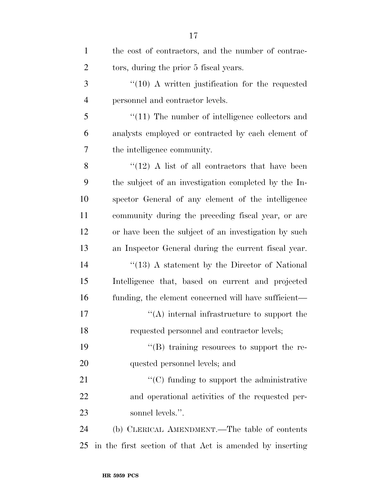| $\mathbf{1}$   | the cost of contractors, and the number of contrac-      |
|----------------|----------------------------------------------------------|
| $\overline{2}$ | tors, during the prior 5 fiscal years.                   |
| 3              | $\lq(10)$ A written justification for the requested      |
| $\overline{4}$ | personnel and contractor levels.                         |
| 5              | $\lq(11)$ The number of intelligence collectors and      |
| 6              | analysts employed or contracted by each element of       |
| 7              | the intelligence community.                              |
| 8              | $\cdot$ (12) A list of all contractors that have been    |
| 9              | the subject of an investigation completed by the In-     |
| 10             | spector General of any element of the intelligence       |
| 11             | community during the preceding fiscal year, or are       |
| 12             | or have been the subject of an investigation by such     |
| 13             | an Inspector General during the current fiscal year.     |
| 14             | $\cdot$ (13) A statement by the Director of National     |
| 15             | Intelligence that, based on current and projected        |
| 16             | funding, the element concerned will have sufficient—     |
| 17             | $\lq\lq$ internal infrastructure to support the          |
| 18             | requested personnel and contractor levels;               |
| 19             | $\lq\lq (B)$ training resources to support the re-       |
| 20             | quested personnel levels; and                            |
| 21             | $\lq\lq$ funding to support the administrative           |
| 22             | and operational activities of the requested per-         |
| 23             | sonnel levels.".                                         |
| 24             | (b) CLERICAL AMENDMENT.—The table of contents            |
| 25             | in the first section of that Act is amended by inserting |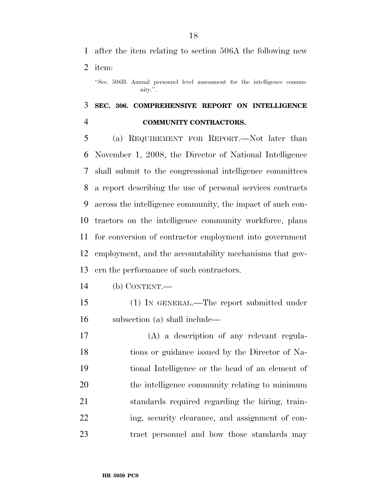after the item relating to section 506A the following new

item:

''Sec. 506B. Annual personnel level assessment for the intelligence community.''.

## **SEC. 306. COMPREHENSIVE REPORT ON INTELLIGENCE COMMUNITY CONTRACTORS.**

 (a) REQUIREMENT FOR REPORT.—Not later than November 1, 2008, the Director of National Intelligence shall submit to the congressional intelligence committees a report describing the use of personal services contracts across the intelligence community, the impact of such con- tractors on the intelligence community workforce, plans for conversion of contractor employment into government employment, and the accountability mechanisms that gov-ern the performance of such contractors.

- (b) CONTENT.—
- (1) IN GENERAL.—The report submitted under subsection (a) shall include—

 (A) a description of any relevant regula- tions or guidance issued by the Director of Na- tional Intelligence or the head of an element of the intelligence community relating to minimum standards required regarding the hiring, train- ing, security clearance, and assignment of con-tract personnel and how those standards may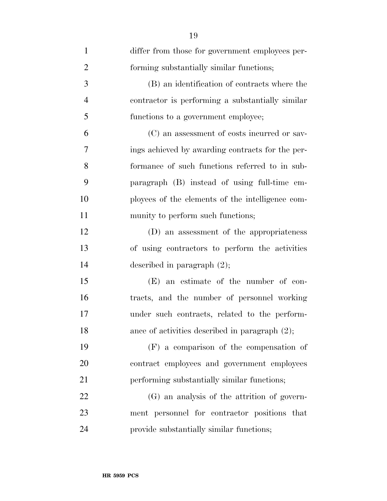| $\mathbf{1}$   | differ from those for government employees per-   |
|----------------|---------------------------------------------------|
| $\overline{2}$ | forming substantially similar functions;          |
| 3              | (B) an identification of contracts where the      |
| $\overline{4}$ | contractor is performing a substantially similar  |
| 5              | functions to a government employee;               |
| 6              | (C) an assessment of costs incurred or sav-       |
| 7              | ings achieved by awarding contracts for the per-  |
| 8              | formance of such functions referred to in sub-    |
| 9              | paragraph (B) instead of using full-time em-      |
| 10             | ployees of the elements of the intelligence com-  |
| 11             | munity to perform such functions;                 |
| 12             | (D) an assessment of the appropriateness          |
| 13             | of using contractors to perform the activities    |
| 14             | described in paragraph $(2)$ ;                    |
| 15             | $(E)$ an estimate of the number of con-           |
| 16             | tracts, and the number of personnel working       |
| 17             | under such contracts, related to the perform-     |
| 18             | ance of activities described in paragraph $(2)$ ; |
| 19             | $(F)$ a comparison of the compensation of         |
| 20             | contract employees and government employees       |
| 21             | performing substantially similar functions;       |
| 22             | (G) an analysis of the attrition of govern-       |
| 23             | ment personnel for contractor positions that      |
| 24             | provide substantially similar functions;          |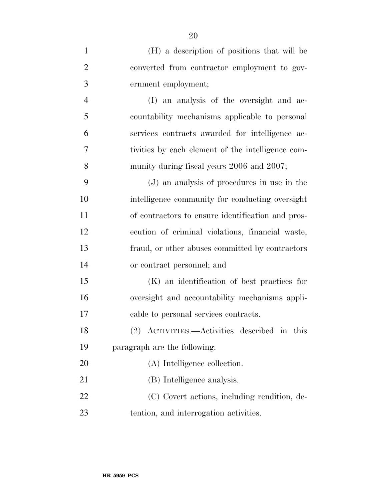| $\mathbf{1}$   | (H) a description of positions that will be       |
|----------------|---------------------------------------------------|
| $\overline{2}$ | converted from contractor employment to gov-      |
| 3              | ernment employment;                               |
| $\overline{4}$ | (I) an analysis of the oversight and ac-          |
| 5              | countability mechanisms applicable to personal    |
| 6              | services contracts awarded for intelligence ac-   |
| 7              | tivities by each element of the intelligence com- |
| 8              | munity during fiscal years 2006 and 2007;         |
| 9              | (J) an analysis of procedures in use in the       |
| 10             | intelligence community for conducting oversight   |
| 11             | of contractors to ensure identification and pros- |
| 12             | ecution of criminal violations, financial waste,  |
| 13             | fraud, or other abuses committed by contractors   |
| 14             | or contract personnel; and                        |
| 15             | (K) an identification of best practices for       |
| 16             | oversight and accountability mechanisms appli-    |
| 17             | cable to personal services contracts.             |
| 18             | (2) ACTIVITIES.—Activities described in this      |
| 19             | paragraph are the following:                      |
| 20             | (A) Intelligence collection.                      |
| 21             | (B) Intelligence analysis.                        |
| 22             | (C) Covert actions, including rendition, de-      |
| 23             | tention, and interrogation activities.            |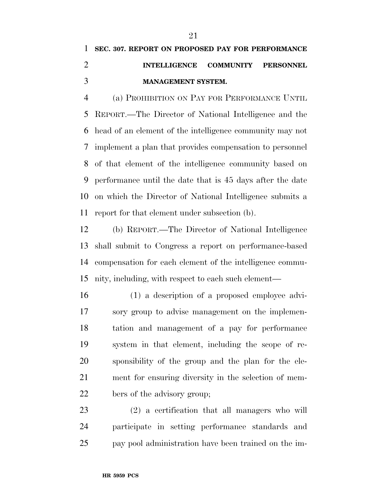## **SEC. 307. REPORT ON PROPOSED PAY FOR PERFORMANCE INTELLIGENCE COMMUNITY PERSONNEL MANAGEMENT SYSTEM.**

 (a) PROHIBITION ON PAY FOR PERFORMANCE UNTIL REPORT.—The Director of National Intelligence and the head of an element of the intelligence community may not implement a plan that provides compensation to personnel of that element of the intelligence community based on performance until the date that is 45 days after the date on which the Director of National Intelligence submits a report for that element under subsection (b).

 (b) REPORT.—The Director of National Intelligence shall submit to Congress a report on performance-based compensation for each element of the intelligence commu-nity, including, with respect to each such element—

 (1) a description of a proposed employee advi- sory group to advise management on the implemen- tation and management of a pay for performance system in that element, including the scope of re- sponsibility of the group and the plan for the ele- ment for ensuring diversity in the selection of mem-bers of the advisory group;

 (2) a certification that all managers who will participate in setting performance standards and pay pool administration have been trained on the im-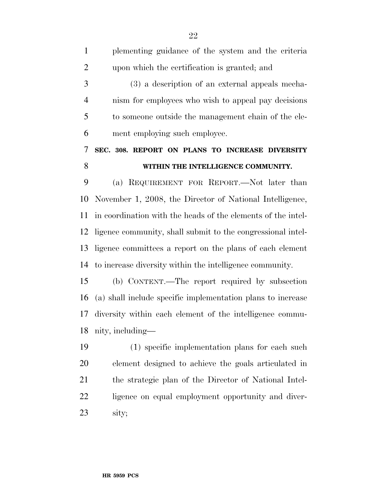| $\mathbf{1}$   | plementing guidance of the system and the criteria           |
|----------------|--------------------------------------------------------------|
| $\overline{2}$ | upon which the certification is granted; and                 |
| 3              | (3) a description of an external appeals mecha-              |
| $\overline{4}$ | nism for employees who wish to appeal pay decisions          |
| 5              | to someone outside the management chain of the ele-          |
| 6              | ment employing such employee.                                |
| 7              | SEC. 308. REPORT ON PLANS TO INCREASE DIVERSITY              |
| 8              | WITHIN THE INTELLIGENCE COMMUNITY.                           |
| 9              | (a) REQUIREMENT FOR REPORT.—Not later than                   |
| 10             | November 1, 2008, the Director of National Intelligence,     |
| 11             | in coordination with the heads of the elements of the intel- |
| 12             | ligence community, shall submit to the congressional intel-  |
| 13             | ligence committees a report on the plans of each element     |
| 14             | to increase diversity within the intelligence community.     |
| 15             | (b) CONTENT.—The report required by subsection               |
| 16             | (a) shall include specific implementation plans to increase  |
| 17             | diversity within each element of the intelligence commu-     |
| 18             | nity, including—                                             |
| 19             | (1) specific implementation plans for each such              |
| 20             | element designed to achieve the goals articulated in         |
| 21             | the strategic plan of the Director of National Intel-        |
| 22             | ligence on equal employment opportunity and diver-           |

sity;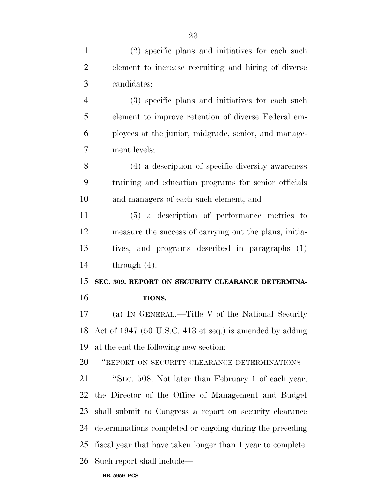(2) specific plans and initiatives for each such element to increase recruiting and hiring of diverse candidates; (3) specific plans and initiatives for each such element to improve retention of diverse Federal em- ployees at the junior, midgrade, senior, and manage- ment levels; (4) a description of specific diversity awareness training and education programs for senior officials and managers of each such element; and (5) a description of performance metrics to measure the success of carrying out the plans, initia- tives, and programs described in paragraphs (1) through (4). **SEC. 309. REPORT ON SECURITY CLEARANCE DETERMINA- TIONS.**  (a) IN GENERAL.—Title V of the National Security Act of 1947 (50 U.S.C. 413 et seq.) is amended by adding at the end the following new section: ''REPORT ON SECURITY CLEARANCE DETERMINATIONS ''SEC. 508. Not later than February 1 of each year, the Director of the Office of Management and Budget shall submit to Congress a report on security clearance determinations completed or ongoing during the preceding fiscal year that have taken longer than 1 year to complete. Such report shall include—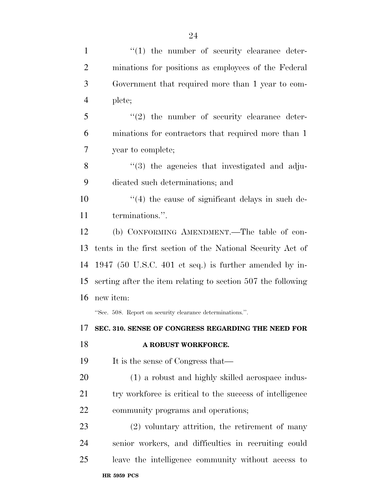| $\mathbf{1}$   | $\lq(1)$ the number of security clearance deter-             |
|----------------|--------------------------------------------------------------|
| $\overline{2}$ | minations for positions as employees of the Federal          |
| 3              | Government that required more than 1 year to com-            |
| $\overline{4}$ | plete;                                                       |
| 5              | $(2)$ the number of security clearance deter-                |
| 6              | minations for contractors that required more than 1          |
| 7              | year to complete;                                            |
| 8              | $\cdot$ (3) the agencies that investigated and adju-         |
| 9              | dicated such determinations; and                             |
| 10             | $\cdot$ (4) the cause of significant delays in such de-      |
| 11             | terminations.".                                              |
| 12             | (b) CONFORMING AMENDMENT.—The table of con-                  |
| 13             | tents in the first section of the National Security Act of   |
| 14             | 1947 (50 U.S.C. 401 et seq.) is further amended by in-       |
| 15             | serting after the item relating to section 507 the following |
| 16             | new item:                                                    |
|                | "Sec. 508. Report on security clearance determinations.".    |
|                | 17 SEC. 310. SENSE OF CONGRESS REGARDING THE NEED FOR        |
| 18             | A ROBUST WORKFORCE.                                          |
| 19             | It is the sense of Congress that—                            |
| 20             | (1) a robust and highly skilled aerospace indus-             |
| 21             | try workforce is critical to the success of intelligence     |
| <u>22</u>      | community programs and operations;                           |
| 23             | $(2)$ voluntary attrition, the retirement of many            |
| 24             | senior workers, and difficulties in recruiting could         |
|                |                                                              |
| 25             | leave the intelligence community without access to           |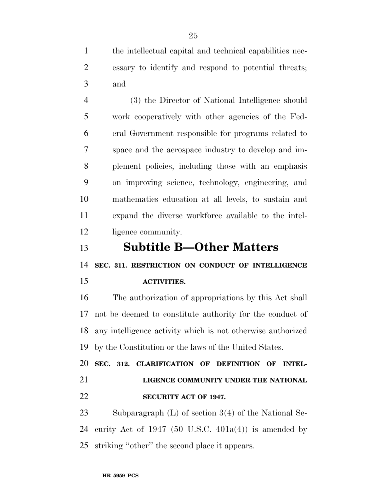the intellectual capital and technical capabilities nec- essary to identify and respond to potential threats; and

 (3) the Director of National Intelligence should work cooperatively with other agencies of the Fed- eral Government responsible for programs related to space and the aerospace industry to develop and im- plement policies, including those with an emphasis on improving science, technology, engineering, and mathematics education at all levels, to sustain and expand the diverse workforce available to the intel-12 ligence community.

**Subtitle B—Other Matters** 

**SEC. 311. RESTRICTION ON CONDUCT OF INTELLIGENCE** 

### **ACTIVITIES.**

 The authorization of appropriations by this Act shall not be deemed to constitute authority for the conduct of any intelligence activity which is not otherwise authorized by the Constitution or the laws of the United States.

 **SEC. 312. CLARIFICATION OF DEFINITION OF INTEL- LIGENCE COMMUNITY UNDER THE NATIONAL SECURITY ACT OF 1947.** 

 Subparagraph (L) of section 3(4) of the National Se-24 curity Act of 1947 (50 U.S.C.  $401a(4)$ ) is amended by striking ''other'' the second place it appears.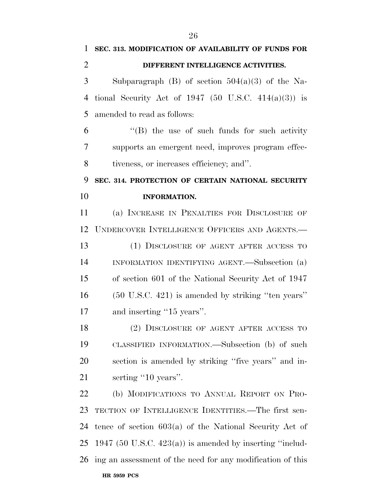| 1              | SEC. 313. MODIFICATION OF AVAILABILITY OF FUNDS FOR        |
|----------------|------------------------------------------------------------|
| $\overline{2}$ | DIFFERENT INTELLIGENCE ACTIVITIES.                         |
| 3              | Subparagraph (B) of section $504(a)(3)$ of the Na-         |
| 4              | tional Security Act of 1947 (50 U.S.C. 414(a)(3)) is       |
| 5              | amended to read as follows:                                |
| 6              | "(B) the use of such funds for such activity               |
| 7              | supports an emergent need, improves program effec-         |
| 8              | tiveness, or increases efficiency; and".                   |
| 9              | SEC. 314. PROTECTION OF CERTAIN NATIONAL SECURITY          |
| 10             | <b>INFORMATION.</b>                                        |
| 11             | (a) INCREASE IN PENALTIES FOR DISCLOSURE OF                |
| 12             | UNDERCOVER INTELLIGENCE OFFICERS AND AGENTS.—              |
| 13             | (1) DISCLOSURE OF AGENT AFTER ACCESS TO                    |
| 14             | INFORMATION IDENTIFYING AGENT.—Subsection (a)              |
| 15             | of section 601 of the National Security Act of 1947        |
| 16             | (50 U.S.C. 421) is amended by striking "ten years"         |
| 17             | and inserting "15 years".                                  |
| 18             | (2) DISCLOSURE OF AGENT AFTER ACCESS TO                    |
| 19             | CLASSIFIED INFORMATION.—Subsection (b) of such             |
| 20             | section is amended by striking "five years" and in-        |
| 21             | serting "10 years".                                        |
| 22             | (b) MODIFICATIONS TO ANNUAL REPORT ON PRO-                 |
| 23             | TECTION OF INTELLIGENCE IDENTITIES.—The first sen-         |
| 24             | tence of section $603(a)$ of the National Security Act of  |
| 25             | 1947 (50 U.S.C. 423(a)) is amended by inserting "includ-   |
| 26             | ing an assessment of the need for any modification of this |
|                | <b>HR 5959 PCS</b>                                         |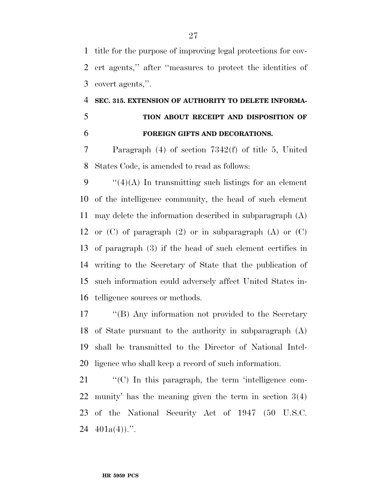title for the purpose of improving legal protections for cov- ert agents,'' after ''measures to protect the identities of covert agents,''.

## **SEC. 315. EXTENSION OF AUTHORITY TO DELETE INFORMA- TION ABOUT RECEIPT AND DISPOSITION OF FOREIGN GIFTS AND DECORATIONS.**

 Paragraph (4) of section 7342(f) of title 5, United States Code, is amended to read as follows:

 $\frac{1}{2}(4)(A)$  In transmitting such listings for an element of the intelligence community, the head of such element may delete the information described in subparagraph (A) 12 or  $(C)$  of paragraph  $(2)$  or in subparagraph  $(A)$  or  $(C)$  of paragraph (3) if the head of such element certifies in writing to the Secretary of State that the publication of such information could adversely affect United States in-telligence sources or methods.

 ''(B) Any information not provided to the Secretary of State pursuant to the authority in subparagraph (A) shall be transmitted to the Director of National Intel-ligence who shall keep a record of such information.

21 "'(C) In this paragraph, the term 'intelligence com- munity' has the meaning given the term in section 3(4) of the National Security Act of 1947 (50 U.S.C.  $401a(4)$ .".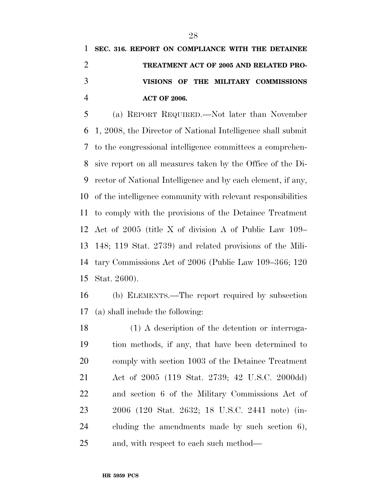## **SEC. 316. REPORT ON COMPLIANCE WITH THE DETAINEE TREATMENT ACT OF 2005 AND RELATED PRO- VISIONS OF THE MILITARY COMMISSIONS ACT OF 2006.**

 (a) REPORT REQUIRED.—Not later than November 1, 2008, the Director of National Intelligence shall submit to the congressional intelligence committees a comprehen- sive report on all measures taken by the Office of the Di- rector of National Intelligence and by each element, if any, of the intelligence community with relevant responsibilities to comply with the provisions of the Detainee Treatment Act of 2005 (title X of division A of Public Law 109– 148; 119 Stat. 2739) and related provisions of the Mili- tary Commissions Act of 2006 (Public Law 109–366; 120 Stat. 2600).

 (b) ELEMENTS.—The report required by subsection (a) shall include the following:

 (1) A description of the detention or interroga- tion methods, if any, that have been determined to comply with section 1003 of the Detainee Treatment Act of 2005 (119 Stat. 2739; 42 U.S.C. 2000dd) and section 6 of the Military Commissions Act of 2006 (120 Stat. 2632; 18 U.S.C. 2441 note) (in- cluding the amendments made by such section 6), and, with respect to each such method—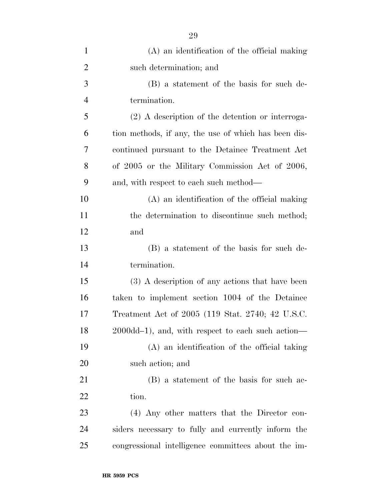| $\mathbf{1}$   | (A) an identification of the official making         |
|----------------|------------------------------------------------------|
| $\overline{2}$ | such determination; and                              |
| 3              | (B) a statement of the basis for such de-            |
| $\overline{4}$ | termination.                                         |
| 5              | $(2)$ A description of the detention or interroga-   |
| 6              | tion methods, if any, the use of which has been dis- |
| 7              | continued pursuant to the Detainee Treatment Act     |
| 8              | of 2005 or the Military Commission Act of 2006,      |
| 9              | and, with respect to each such method—               |
| 10             | (A) an identification of the official making         |
| 11             | the determination to discontinue such method;        |
| 12             | and                                                  |
| 13             | (B) a statement of the basis for such de-            |
| 14             | termination.                                         |
| 15             | (3) A description of any actions that have been      |
| 16             | taken to implement section 1004 of the Detainee      |
| 17             | Treatment Act of 2005 (119 Stat. 2740; 42 U.S.C.     |
| 18             | 2000dd-1), and, with respect to each such action—    |
| 19             | (A) an identification of the official taking         |
| 20             | such action; and                                     |
| 21             | (B) a statement of the basis for such ac-            |
| 22             | tion.                                                |
| 23             | (4) Any other matters that the Director con-         |
| 24             | siders necessary to fully and currently inform the   |
| 25             | congressional intelligence committees about the im-  |
|                |                                                      |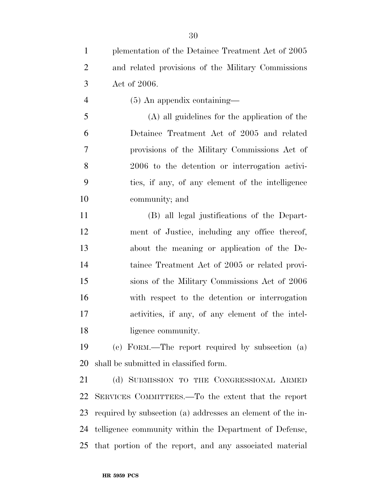| $\mathbf{1}$   | plementation of the Detainee Treatment Act of 2005         |
|----------------|------------------------------------------------------------|
| $\overline{2}$ | and related provisions of the Military Commissions         |
| 3              | Act of 2006.                                               |
| $\overline{4}$ | $(5)$ An appendix containing—                              |
| 5              | (A) all guidelines for the application of the              |
| 6              | Detainee Treatment Act of 2005 and related                 |
| 7              | provisions of the Military Commissions Act of              |
| 8              | 2006 to the detention or interrogation activi-             |
| 9              | ties, if any, of any element of the intelligence           |
| 10             | community; and                                             |
| 11             | (B) all legal justifications of the Depart-                |
| 12             | ment of Justice, including any office thereof,             |
| 13             | about the meaning or application of the De-                |
| 14             | tainee Treatment Act of 2005 or related provi-             |
| 15             | sions of the Military Commissions Act of 2006              |
| 16             | with respect to the detention or interrogation             |
| 17             | activities, if any, of any element of the intel-           |
| 18             | ligence community.                                         |
| 19             | (c) FORM.—The report required by subsection (a)            |
| 20             | shall be submitted in classified form.                     |
| 21             | (d) SUBMISSION TO THE CONGRESSIONAL ARMED                  |
| 22             | SERVICES COMMITTEES.—To the extent that the report         |
| 23             | required by subsection (a) addresses an element of the in- |
| 24             | telligence community within the Department of Defense,     |
| 25             | that portion of the report, and any associated material    |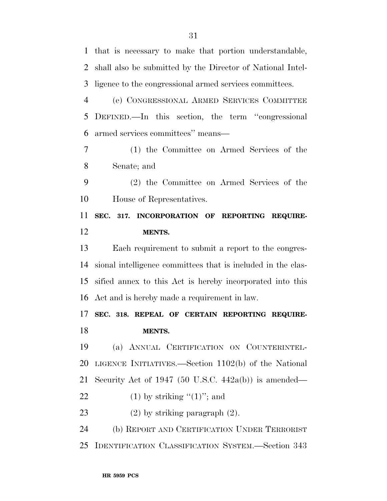that is necessary to make that portion understandable, shall also be submitted by the Director of National Intel- ligence to the congressional armed services committees. (e) CONGRESSIONAL ARMED SERVICES COMMITTEE DEFINED.—In this section, the term ''congressional armed services committees'' means— (1) the Committee on Armed Services of the Senate; and (2) the Committee on Armed Services of the House of Representatives. **SEC. 317. INCORPORATION OF REPORTING REQUIRE- MENTS.**  Each requirement to submit a report to the congres- sional intelligence committees that is included in the clas- sified annex to this Act is hereby incorporated into this Act and is hereby made a requirement in law. **SEC. 318. REPEAL OF CERTAIN REPORTING REQUIRE- MENTS.**  (a) ANNUAL CERTIFICATION ON COUNTERINTEL- LIGENCE INITIATIVES.—Section 1102(b) of the National Security Act of 1947 (50 U.S.C. 442a(b)) is amended— 22 (1) by striking  $(1)$ "; and (2) by striking paragraph (2). (b) REPORT AND CERTIFICATION UNDER TERRORIST IDENTIFICATION CLASSIFICATION SYSTEM.—Section 343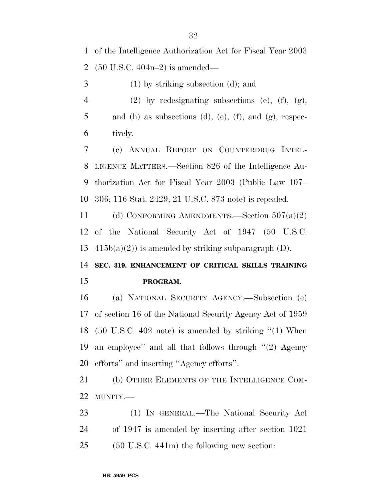of the Intelligence Authorization Act for Fiscal Year 2003 (50 U.S.C. 404n–2) is amended—

(1) by striking subsection (d); and

 (2) by redesignating subsections (e), (f), (g), 5 and (h) as subsections (d), (e), (f), and (g), respec-tively.

 (c) ANNUAL REPORT ON COUNTERDRUG INTEL- LIGENCE MATTERS.—Section 826 of the Intelligence Au- thorization Act for Fiscal Year 2003 (Public Law 107– 306; 116 Stat. 2429; 21 U.S.C. 873 note) is repealed.

 (d) CONFORMING AMENDMENTS.—Section 507(a)(2) of the National Security Act of 1947 (50 U.S.C. 13  $415b(a)(2)$  is amended by striking subparagraph (D).

 **SEC. 319. ENHANCEMENT OF CRITICAL SKILLS TRAINING PROGRAM.** 

 (a) NATIONAL SECURITY AGENCY.—Subsection (e) of section 16 of the National Security Agency Act of 1959 (50 U.S.C. 402 note) is amended by striking ''(1) When an employee'' and all that follows through ''(2) Agency efforts'' and inserting ''Agency efforts''.

 (b) OTHER ELEMENTS OF THE INTELLIGENCE COM-MUNITY.—

 (1) IN GENERAL.—The National Security Act of 1947 is amended by inserting after section 1021 (50 U.S.C. 441m) the following new section: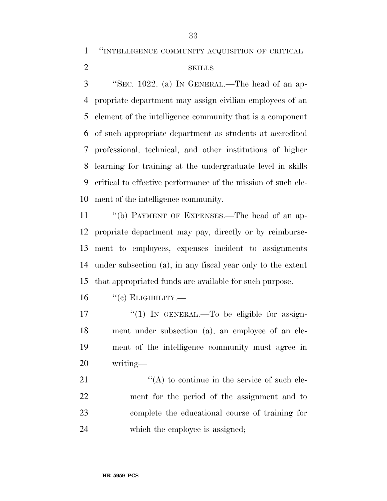''INTELLIGENCE COMMUNITY ACQUISITION OF CRITICAL

### SKILLS

 ''SEC. 1022. (a) IN GENERAL.—The head of an ap- propriate department may assign civilian employees of an element of the intelligence community that is a component of such appropriate department as students at accredited professional, technical, and other institutions of higher learning for training at the undergraduate level in skills critical to effective performance of the mission of such ele-ment of the intelligence community.

 ''(b) PAYMENT OF EXPENSES.—The head of an ap- propriate department may pay, directly or by reimburse- ment to employees, expenses incident to assignments under subsection (a), in any fiscal year only to the extent that appropriated funds are available for such purpose.

"(c) ELIGIBILITY.—

 $\frac{17}{2}$   $\frac{17}{2}$  IN GENERAL. To be eligible for assign- ment under subsection (a), an employee of an ele- ment of the intelligence community must agree in writing—

 $\langle (A) \rangle$  to continue in the service of such ele- ment for the period of the assignment and to complete the educational course of training for which the employee is assigned;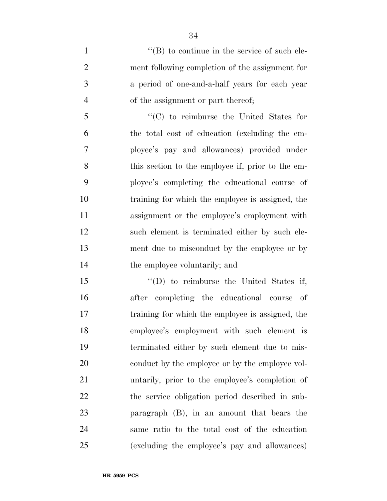$\langle$  (B) to continue in the service of such ele- ment following completion of the assignment for a period of one-and-a-half years for each year of the assignment or part thereof;

 ''(C) to reimburse the United States for the total cost of education (excluding the em- ployee's pay and allowances) provided under this section to the employee if, prior to the em- ployee's completing the educational course of training for which the employee is assigned, the 11 assignment or the employee's employment with such element is terminated either by such ele- ment due to misconduct by the employee or by the employee voluntarily; and

15 "'(D) to reimburse the United States if, after completing the educational course of training for which the employee is assigned, the employee's employment with such element is terminated either by such element due to mis-20 conduct by the employee or by the employee vol- untarily, prior to the employee's completion of the service obligation period described in sub- paragraph (B), in an amount that bears the same ratio to the total cost of the education (excluding the employee's pay and allowances)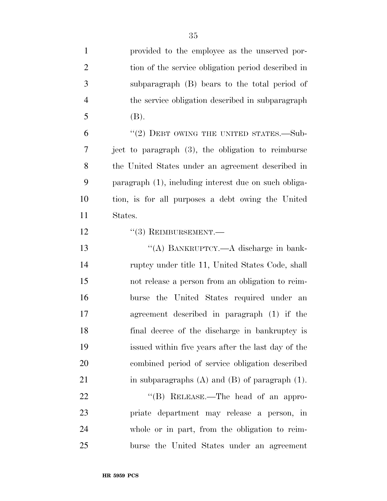| $\mathbf{1}$   | provided to the employee as the unserved por-         |
|----------------|-------------------------------------------------------|
| $\overline{2}$ | tion of the service obligation period described in    |
| 3              | subparagraph (B) bears to the total period of         |
| $\overline{4}$ | the service obligation described in subparagraph      |
| 5              | (B).                                                  |
| 6              | $"(2)$ DEBT OWING THE UNITED STATES.—Sub-             |
| 7              | ject to paragraph (3), the obligation to reimburse    |
| 8              | the United States under an agreement described in     |
| 9              | paragraph (1), including interest due on such obliga- |
| 10             | tion, is for all purposes a debt owing the United     |
| 11             | States.                                               |
| 12             | $``(3)$ REIMBURSEMENT.—                               |
| 13             | "(A) BANKRUPTCY.—A discharge in bank-                 |
| 14             | ruptcy under title 11, United States Code, shall      |
| 15             | not release a person from an obligation to reim-      |
| 16             | burse the United States required under an             |
| 17             | agreement described in paragraph (1) if the           |
| 18             | final decree of the discharge in bankruptcy is        |
| 19             | issued within five years after the last day of the    |
| <b>20</b>      | combined period of service obligation described       |
| 21             | in subparagraphs $(A)$ and $(B)$ of paragraph $(1)$ . |
| 22             | "(B) RELEASE.—The head of an appro-                   |
| 23             | priate department may release a person, in            |
| 24             | whole or in part, from the obligation to reim-        |
| 25             | burse the United States under an agreement            |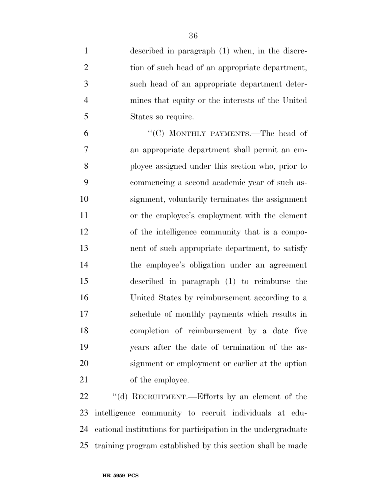| $\mathbf{1}$   | described in paragraph (1) when, in the discre-  |
|----------------|--------------------------------------------------|
| $\overline{2}$ | tion of such head of an appropriate department,  |
| 3              | such head of an appropriate department deter-    |
| $\overline{4}$ | mines that equity or the interests of the United |
| 5              | States so require.                               |
| 6              | "(C) MONTHLY PAYMENTS.—The head of               |
| $\overline{7}$ | an appropriate department shall permit an em-    |
| 8              | ployee assigned under this section who, prior to |
| 9              | commencing a second academic year of such as-    |
| 10             | signment, voluntarily terminates the assignment  |
| 11             | or the employee's employment with the element    |
| 12             | of the intelligence community that is a compo-   |
| 13             | nent of such appropriate department, to satisfy  |
| 14             | the employee's obligation under an agreement     |
| 15             | described in paragraph (1) to reimburse the      |
| 16             | United States by reimbursement according to a    |
| 17             | schedule of monthly payments which results in    |
| 18             | completion of reimbursement by a date five       |
| 19             | years after the date of termination of the as-   |
| 20             | signment or employment or earlier at the option  |
| 21             | of the employee.                                 |
|                |                                                  |

22 "(d) RECRUITMENT.—Efforts by an element of the intelligence community to recruit individuals at edu- cational institutions for participation in the undergraduate training program established by this section shall be made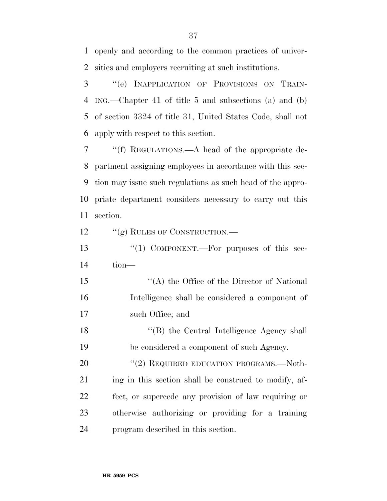openly and according to the common practices of univer-sities and employers recruiting at such institutions.

 ''(e) INAPPLICATION OF PROVISIONS ON TRAIN- ING.—Chapter 41 of title 5 and subsections (a) and (b) of section 3324 of title 31, United States Code, shall not apply with respect to this section.

 ''(f) REGULATIONS.—A head of the appropriate de- partment assigning employees in accordance with this sec- tion may issue such regulations as such head of the appro- priate department considers necessary to carry out this section.

12 "(g) RULES OF CONSTRUCTION.—

13 "(1) COMPONENT.—For purposes of this sec-tion—

15 "(A) the Office of the Director of National Intelligence shall be considered a component of such Office; and

18 ''(B) the Central Intelligence Agency shall be considered a component of such Agency.

20 "(2) REQUIRED EDUCATION PROGRAMS.—Noth-21 ing in this section shall be construed to modify, af- fect, or supercede any provision of law requiring or otherwise authorizing or providing for a training program described in this section.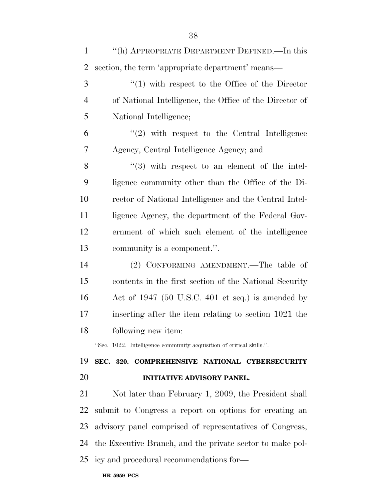| $\mathbf{1}$   | "(h) APPROPRIATE DEPARTMENT DEFINED.—In this                         |
|----------------|----------------------------------------------------------------------|
| $\overline{2}$ | section, the term 'appropriate department' means—                    |
| 3              | $\lq(1)$ with respect to the Office of the Director                  |
| $\overline{4}$ | of National Intelligence, the Office of the Director of              |
| 5              | National Intelligence;                                               |
| 6              | $\lq(2)$ with respect to the Central Intelligence                    |
| 7              | Agency, Central Intelligence Agency; and                             |
| 8              | $\cdot$ (3) with respect to an element of the intel-                 |
| 9              | ligence community other than the Office of the Di-                   |
| 10             | rector of National Intelligence and the Central Intel-               |
| 11             | ligence Agency, the department of the Federal Gov-                   |
| 12             | ernment of which such element of the intelligence                    |
| 13             | community is a component.".                                          |
| 14             | (2) CONFORMING AMENDMENT.—The table of                               |
| 15             | contents in the first section of the National Security               |
| 16             | Act of 1947 (50 U.S.C. 401 et seq.) is amended by                    |
| 17             | inserting after the item relating to section 1021 the                |
| 18             | following new item:                                                  |
|                | "Sec. 1022. Intelligence community acquisition of critical skills.". |
| 19             | SEC. 320. COMPREHENSIVE NATIONAL CYBERSECURITY                       |
| 20             | <b>INITIATIVE ADVISORY PANEL.</b>                                    |
| 21             | Not later than February 1, 2009, the President shall                 |
| 22             | submit to Congress a report on options for creating an               |
| 23             | advisory panel comprised of representatives of Congress,             |
| 24             | the Executive Branch, and the private sector to make pol-            |
|                | 25 icy and procedural recommendations for-                           |
|                |                                                                      |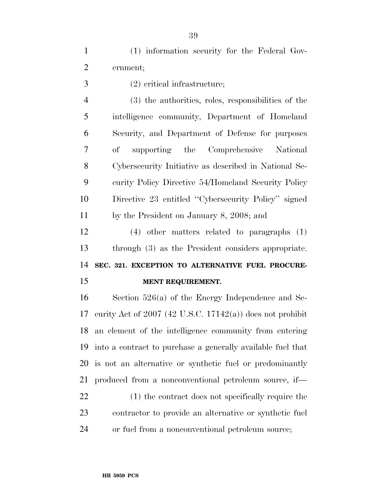(1) information security for the Federal Gov-ernment;

(2) critical infrastructure;

 (3) the authorities, roles, responsibilities of the intelligence community, Department of Homeland Security, and Department of Defense for purposes of supporting the Comprehensive National Cybersecurity Initiative as described in National Se- curity Policy Directive 54/Homeland Security Policy Directive 23 entitled ''Cybersecurity Policy'' signed by the President on January 8, 2008; and

 (4) other matters related to paragraphs (1) through (3) as the President considers appropriate. **SEC. 321. EXCEPTION TO ALTERNATIVE FUEL PROCURE-MENT REQUIREMENT.** 

 Section 526(a) of the Energy Independence and Se- curity Act of 2007 (42 U.S.C. 17142(a)) does not prohibit an element of the intelligence community from entering into a contract to purchase a generally available fuel that is not an alternative or synthetic fuel or predominantly produced from a nonconventional petroleum source, if—

 (1) the contract does not specifically require the contractor to provide an alternative or synthetic fuel or fuel from a nonconventional petroleum source;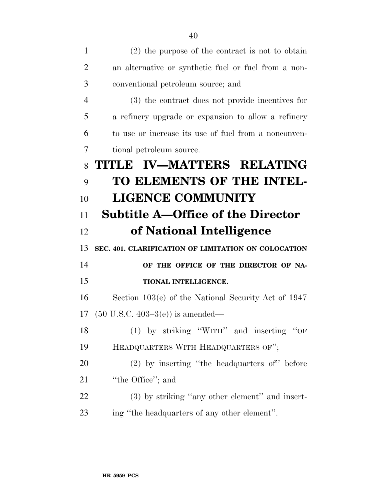| $\mathbf{1}$   | $(2)$ the purpose of the contract is not to obtain   |
|----------------|------------------------------------------------------|
| $\overline{2}$ | an alternative or synthetic fuel or fuel from a non- |
| 3              | conventional petroleum source; and                   |
| $\overline{4}$ | (3) the contract does not provide incentives for     |
| 5              | a refinery upgrade or expansion to allow a refinery  |
| 6              | to use or increase its use of fuel from a nonconven- |
| 7              | tional petroleum source.                             |
| 8              | TITLE IV-MATTERS RELATING                            |
| 9              | TO ELEMENTS OF THE INTEL-                            |
| 10             | <b>LIGENCE COMMUNITY</b>                             |
| 11             | <b>Subtitle A–Office of the Director</b>             |
| 12             | of National Intelligence                             |
| 13             | SEC. 401. CLARIFICATION OF LIMITATION ON COLOCATION  |
| 14             | OF THE OFFICE OF THE DIRECTOR OF NA-                 |
| 15             | TIONAL INTELLIGENCE.                                 |
| 16             | Section 103(e) of the National Security Act of 1947  |
| 17             | $(50 \text{ U.S.C. } 403-3(e))$ is amended—          |
| 18             | (1) by striking "WITH" and inserting "OF             |
| 19             | HEADQUARTERS WITH HEADQUARTERS OF";                  |
| 20             | $(2)$ by inserting "the headquarters of" before      |
| 21             | "the Office"; and                                    |
| 22             | (3) by striking "any other element" and insert-      |
| 23             | ing "the headquarters of any other element".         |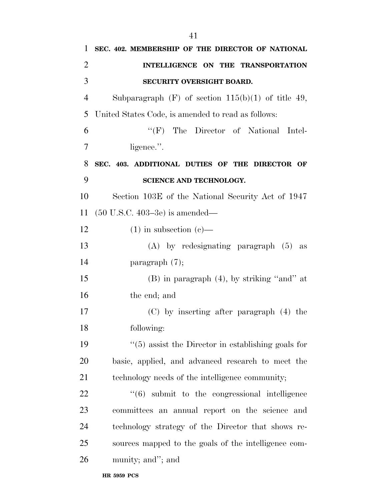| 1              | SEC. 402. MEMBERSHIP OF THE DIRECTOR OF NATIONAL               |
|----------------|----------------------------------------------------------------|
| $\overline{2}$ | INTELLIGENCE ON THE TRANSPORTATION                             |
| 3              | SECURITY OVERSIGHT BOARD.                                      |
| $\overline{4}$ | Subparagraph $(F)$ of section $115(b)(1)$ of title 49,         |
| 5              | United States Code, is amended to read as follows:             |
| 6              | "(F) The Director of National Intel-                           |
| 7              | ligence.".                                                     |
| 8              | SEC. 403. ADDITIONAL DUTIES OF THE DIRECTOR OF                 |
| 9              | SCIENCE AND TECHNOLOGY.                                        |
| 10             | Section 103E of the National Security Act of 1947              |
| 11             | $(50 \text{ U.S.C. } 403-3e)$ is amended—                      |
| 12             | $(1)$ in subsection $(e)$ —                                    |
| 13             | $(A)$ by redesignating paragraph $(5)$ as                      |
| 14             | paragraph $(7)$ ;                                              |
| 15             | $(B)$ in paragraph $(4)$ , by striking "and" at                |
| 16             | the end; and                                                   |
| 17             | $(C)$ by inserting after paragraph $(4)$ the                   |
| 18             | following:                                                     |
| 19             | $\cdot\cdot$ (5) assist the Director in establishing goals for |
| 20             | basic, applied, and advanced research to meet the              |
| 21             | technology needs of the intelligence community;                |
| 22             | $\cdot\cdot\cdot(6)$ submit to the congressional intelligence  |
| 23             | committees an annual report on the science and                 |
| 24             | technology strategy of the Director that shows re-             |
| 25             | sources mapped to the goals of the intelligence com-           |
| 26             | munity; and"; and                                              |
|                |                                                                |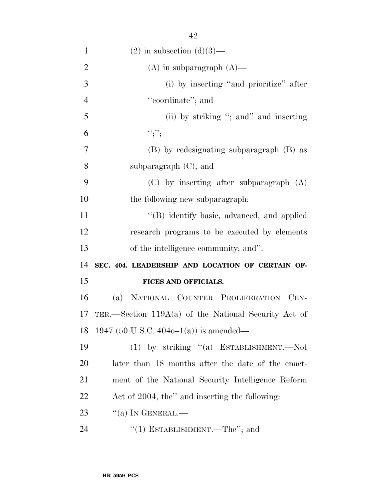| $\mathbf{1}$   | $(2)$ in subsection $(d)(3)$ —                         |
|----------------|--------------------------------------------------------|
| $\overline{2}$ | $(A)$ in subparagraph $(A)$ —                          |
| 3              | (i) by inserting "and prioritize" after                |
| $\overline{4}$ | "coordinate"; and                                      |
| 5              | (ii) by striking "; and " and inserting                |
| 6              | ``;''                                                  |
| $\overline{7}$ | (B) by redesignating subparagraph (B) as               |
| 8              | subparagraph $(C)$ ; and                               |
| 9              | $(C)$ by inserting after subparagraph $(A)$            |
| 10             | the following new subparagraph:                        |
| 11             | "(B) identify basic, advanced, and applied             |
| 12             | research programs to be executed by elements           |
|                |                                                        |
| 13             | of the intelligence community; and".                   |
| 14             | SEC. 404. LEADERSHIP AND LOCATION OF CERTAIN OF-       |
| 15             | FICES AND OFFICIALS.                                   |
| 16             | (a) NATIONAL COUNTER PROLIFERATION CEN-                |
| 17             | TER.—Section $119A(a)$ of the National Security Act of |
| 18             | 1947 (50 U.S.C. 404o–1(a)) is amended—                 |
| 19             | (1) by striking "(a) ESTABLISHMENT.—Not                |
| <b>20</b>      | later than 18 months after the date of the enact-      |
| 21             | ment of the National Security Intelligence Reform      |
| 22             | Act of 2004, the" and inserting the following:         |
| 23             | $``(a)$ In GENERAL.—                                   |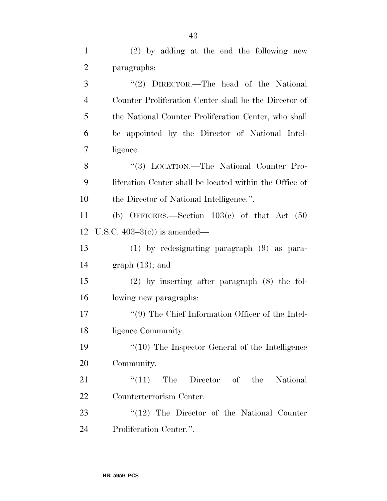| $\mathbf{1}$   | $(2)$ by adding at the end the following new            |
|----------------|---------------------------------------------------------|
| $\overline{2}$ | paragraphs:                                             |
| 3              | "(2) DIRECTOR.—The head of the National                 |
| $\overline{4}$ | Counter Proliferation Center shall be the Director of   |
| 5              | the National Counter Proliferation Center, who shall    |
| 6              | be appointed by the Director of National Intel-         |
| 7              | ligence.                                                |
| 8              | "(3) LOCATION.—The National Counter Pro-                |
| 9              | liferation Center shall be located within the Office of |
| 10             | the Director of National Intelligence.".                |
| 11             | (b) OFFICERS.—Section $103(c)$ of that Act $(50)$       |
| 12             | U.S.C. $403-3(e)$ is amended—                           |
| 13             | $(1)$ by redesignating paragraph $(9)$ as para-         |
| 14             | $graph (13)$ ; and                                      |
| 15             | $(2)$ by inserting after paragraph $(8)$ the fol-       |
| 16             | lowing new paragraphs:                                  |
| 17             | $\lq(9)$ The Chief Information Officer of the Intel-    |
| 18             | ligence Community.                                      |
| 19             | $\lq(10)$ The Inspector General of the Intelligence     |
| 20             | Community.                                              |
| 21             | $\lq(11)$ The Director of the National                  |
| 22             | Counterterrorism Center.                                |
| 23             | $\lq(12)$ The Director of the National Counter          |
| 24             | Proliferation Center.".                                 |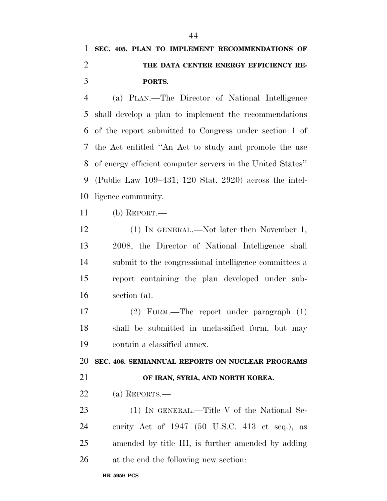## **SEC. 405. PLAN TO IMPLEMENT RECOMMENDATIONS OF THE DATA CENTER ENERGY EFFICIENCY RE-PORTS.**

 (a) PLAN.—The Director of National Intelligence shall develop a plan to implement the recommendations of the report submitted to Congress under section 1 of the Act entitled ''An Act to study and promote the use of energy efficient computer servers in the United States'' (Public Law 109–431; 120 Stat. 2920) across the intel-ligence community.

(b) REPORT.—

 (1) IN GENERAL.—Not later then November 1, 2008, the Director of National Intelligence shall submit to the congressional intelligence committees a report containing the plan developed under sub-section (a).

 (2) FORM.—The report under paragraph (1) shall be submitted in unclassified form, but may contain a classified annex.

**SEC. 406. SEMIANNUAL REPORTS ON NUCLEAR PROGRAMS** 

## **OF IRAN, SYRIA, AND NORTH KOREA.**

(a) REPORTS.—

23 (1) IN GENERAL.—Title V of the National Se- curity Act of 1947 (50 U.S.C. 413 et seq.), as amended by title III, is further amended by adding at the end the following new section: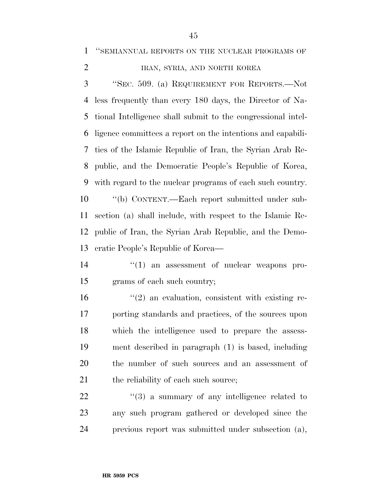''SEMIANNUAL REPORTS ON THE NUCLEAR PROGRAMS OF

## 2 IRAN, SYRIA, AND NORTH KOREA

 ''SEC. 509. (a) REQUIREMENT FOR REPORTS.—Not less frequently than every 180 days, the Director of Na- tional Intelligence shall submit to the congressional intel- ligence committees a report on the intentions and capabili- ties of the Islamic Republic of Iran, the Syrian Arab Re- public, and the Democratic People's Republic of Korea, with regard to the nuclear programs of each such country. ''(b) CONTENT.—Each report submitted under sub- section (a) shall include, with respect to the Islamic Re-public of Iran, the Syrian Arab Republic, and the Demo-

cratic People's Republic of Korea—

- 14  $\frac{1}{2}$  (1) an assessment of nuclear weapons pro-grams of each such country;
- 16  $\frac{1}{2}$  an evaluation, consistent with existing re- porting standards and practices, of the sources upon which the intelligence used to prepare the assess- ment described in paragraph (1) is based, including the number of such sources and an assessment of 21 the reliability of each such source;

 "(3) a summary of any intelligence related to any such program gathered or developed since the previous report was submitted under subsection (a),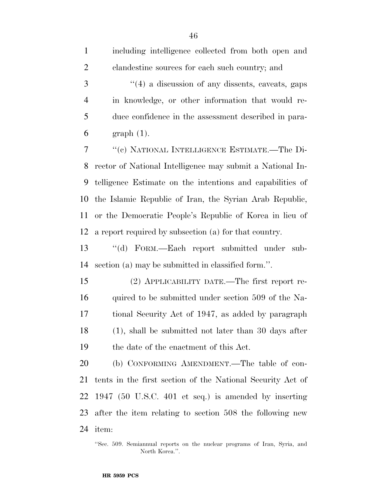| $\mathbf{1}$   | including intelligence collected from both open and        |
|----------------|------------------------------------------------------------|
| $\overline{2}$ | clandestine sources for each such country; and             |
| 3              | "(4) a discussion of any dissents, caveats, gaps           |
| $\overline{4}$ | in knowledge, or other information that would re-          |
| 5              | duce confidence in the assessment described in para-       |
| 6              | $graph(1)$ .                                               |
| 7              | "(c) NATIONAL INTELLIGENCE ESTIMATE.-The Di-               |
| 8              | rector of National Intelligence may submit a National In-  |
| 9              | telligence Estimate on the intentions and capabilities of  |
| 10             | the Islamic Republic of Iran, the Syrian Arab Republic,    |
| 11             | or the Democratic People's Republic of Korea in lieu of    |
| 12             | a report required by subsection (a) for that country.      |
| 13             | "(d) FORM.—Each report submitted under sub-                |
| 14             | section (a) may be submitted in classified form.".         |
| 15             | (2) APPLICABILITY DATE.—The first report re-               |
| 16             | quired to be submitted under section 509 of the Na-        |
| 17             | tional Security Act of 1947, as added by paragraph         |
| 18             | $(1)$ , shall be submitted not later than 30 days after    |
| 19             | the date of the enactment of this Act.                     |
| 20             | (b) CONFORMING AMENDMENT.—The table of con-                |
| 21             | tents in the first section of the National Security Act of |
| 22             | 1947 (50 U.S.C. 401 et seq.) is amended by inserting       |
| 23             | after the item relating to section 508 the following new   |
| 24             | item:                                                      |

<sup>&#</sup>x27;'Sec. 509. Semiannual reports on the nuclear programs of Iran, Syria, and North Korea.''.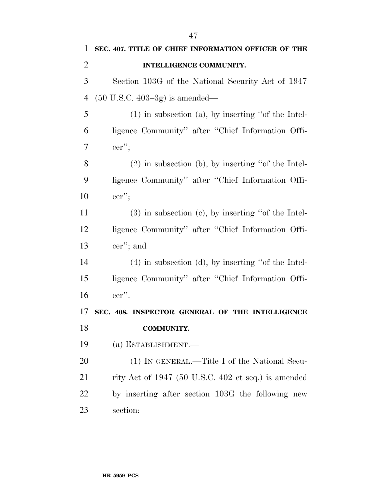| $\mathbf{1}$   | SEC. 407. TITLE OF CHIEF INFORMATION OFFICER OF THE     |
|----------------|---------------------------------------------------------|
| $\overline{2}$ | INTELLIGENCE COMMUNITY.                                 |
| 3              | Section 103G of the National Security Act of 1947       |
| $\overline{4}$ | $(50 \text{ U.S.C. } 403-3g)$ is amended—               |
| 5              | $(1)$ in subsection $(a)$ , by inserting "of the Intel- |
| 6              | ligence Community" after "Chief Information Offi-       |
| 7              | $ver$ ";                                                |
| 8              | $(2)$ in subsection (b), by inserting "of the Intel-    |
| 9              | ligence Community" after "Chief Information Offi-       |
| 10             | $ver$ ";                                                |
| 11             | $(3)$ in subsection $(e)$ , by inserting "of the Intel- |
| 12             | ligence Community" after "Chief Information Offi-       |
| 13             | cer"; and                                               |
| 14             | $(4)$ in subsection $(d)$ , by inserting "of the Intel- |
| 15             | ligence Community" after "Chief Information Offi-       |
| 16             | $-$ cer".                                               |
| 17             | SEC. 408. INSPECTOR GENERAL OF THE INTELLIGENCE         |
| 18             | <b>COMMUNITY.</b>                                       |
| 19             | (a) ESTABLISHMENT.—                                     |
| <b>20</b>      | (1) IN GENERAL.—Title I of the National Secu-           |
| 21             | rity Act of 1947 (50 U.S.C. 402 et seq.) is amended     |
| <u>22</u>      | by inserting after section 103G the following new       |
| 23             | section:                                                |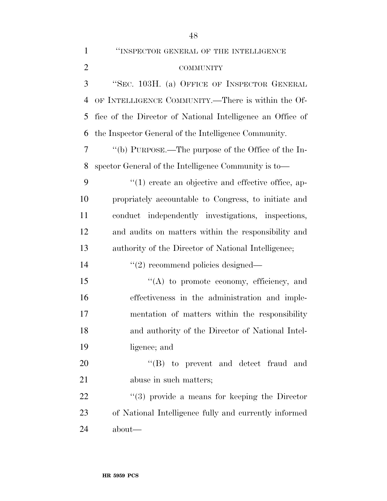COMMUNITY ''SEC. 103H. (a) OFFICE OF INSPECTOR GENERAL OF INTELLIGENCE COMMUNITY.—There is within the Of- fice of the Director of National Intelligence an Office of the Inspector General of the Intelligence Community. ''(b) PURPOSE.—The purpose of the Office of the In-spector General of the Intelligence Community is to—

 $\cdot$  (1) create an objective and effective office, ap- propriately accountable to Congress, to initiate and conduct independently investigations, inspections, and audits on matters within the responsibility and authority of the Director of National Intelligence;

14  $\frac{1}{2}$  recommend policies designed—

15 "(A) to promote economy, efficiency, and effectiveness in the administration and imple- mentation of matters within the responsibility and authority of the Director of National Intel-ligence; and

20 "'(B) to prevent and detect fraud and abuse in such matters;

22 ''(3) provide a means for keeping the Director of National Intelligence fully and currently informed about—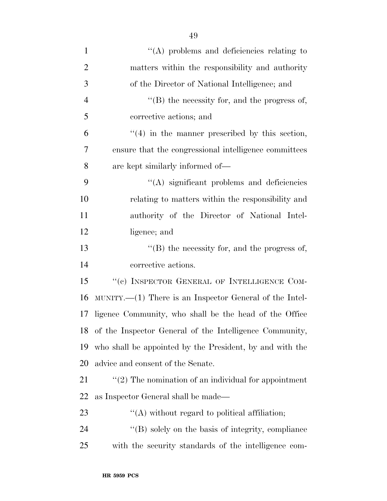| $\mathbf{1}$   | $\lq\lq$ problems and deficiencies relating to                 |
|----------------|----------------------------------------------------------------|
| $\overline{2}$ | matters within the responsibility and authority                |
| 3              | of the Director of National Intelligence; and                  |
| $\overline{4}$ | $\lq\lq$ the necessity for, and the progress of,               |
| 5              | corrective actions; and                                        |
| 6              | $\cdot\cdot\cdot(4)$ in the manner prescribed by this section, |
| 7              | ensure that the congressional intelligence committees          |
| 8              | are kept similarly informed of—                                |
| 9              | $\lq\lq$ significant problems and deficiencies                 |
| 10             | relating to matters within the responsibility and              |
| 11             | authority of the Director of National Intel-                   |
| 12             | ligence; and                                                   |
| 13             | $\lq\lq$ the necessity for, and the progress of,               |
| 14             | corrective actions.                                            |
| 15             | "(c) INSPECTOR GENERAL OF INTELLIGENCE COM-                    |
| 16             | $MUNITY.$ There is an Inspector General of the Intel-          |
| 17             | ligence Community, who shall be the head of the Office         |
|                | 18 of the Inspector General of the Intelligence Community,     |
| 19             | who shall be appointed by the President, by and with the       |
| 20             | advice and consent of the Senate.                              |
| 21             | $\lq(2)$ The nomination of an individual for appointment       |
| 22             | as Inspector General shall be made—                            |
| 23             | $\lq\lq$ without regard to political affiliation;              |
| 24             | "(B) solely on the basis of integrity, compliance              |
| 25             | with the security standards of the intelligence com-           |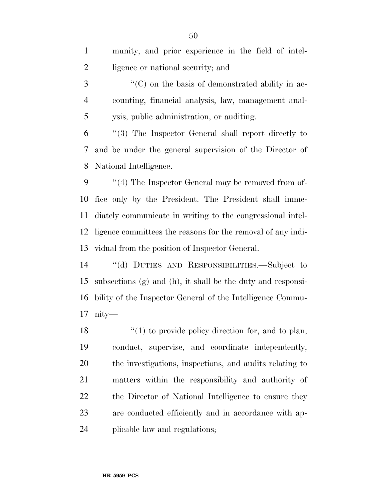| $\mathbf{1}$             | munity, and prior experience in the field of intel-          |
|--------------------------|--------------------------------------------------------------|
| $\mathfrak{2}$           | ligence or national security; and                            |
| 3                        | $\cdot\cdot$ (C) on the basis of demonstrated ability in ac- |
| $\overline{4}$           | counting, financial analysis, law, management anal-          |
| 5                        | ysis, public administration, or auditing.                    |
| 6                        | $(3)$ The Inspector General shall report directly to         |
| $\overline{\mathcal{L}}$ | and be under the general supervision of the Director of      |
| 8                        | National Intelligence.                                       |
| 9                        | $\lq(4)$ The Inspector General may be removed from of-       |
| 10                       | fice only by the President. The President shall imme-        |
| 11                       | diately communicate in writing to the congressional intel-   |
| 12                       | ligence committees the reasons for the removal of any indi-  |
| 13                       | vidual from the position of Inspector General.               |
| 14                       | "(d) DUTIES AND RESPONSIBILITIES.—Subject to                 |
| 15                       | subsections (g) and (h), it shall be the duty and responsi-  |
| 16                       | bility of the Inspector General of the Intelligence Commu-   |
|                          |                                                              |

nity—

18 ''(1) to provide policy direction for, and to plan, conduct, supervise, and coordinate independently, the investigations, inspections, and audits relating to matters within the responsibility and authority of 22 the Director of National Intelligence to ensure they are conducted efficiently and in accordance with ap-plicable law and regulations;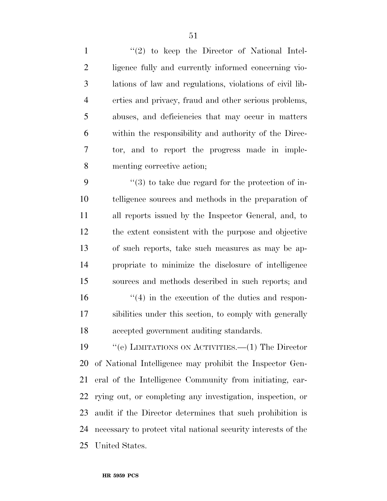1 ''(2) to keep the Director of National Intel- ligence fully and currently informed concerning vio- lations of law and regulations, violations of civil lib- erties and privacy, fraud and other serious problems, abuses, and deficiencies that may occur in matters within the responsibility and authority of the Direc- tor, and to report the progress made in imple-menting corrective action;

 ''(3) to take due regard for the protection of in- telligence sources and methods in the preparation of all reports issued by the Inspector General, and, to the extent consistent with the purpose and objective of such reports, take such measures as may be ap- propriate to minimize the disclosure of intelligence sources and methods described in such reports; and  $\mathcal{L}(4)$  in the execution of the duties and respon- sibilities under this section, to comply with generally accepted government auditing standards.

 ''(e) LIMITATIONS ON ACTIVITIES.—(1) The Director of National Intelligence may prohibit the Inspector Gen- eral of the Intelligence Community from initiating, car- rying out, or completing any investigation, inspection, or audit if the Director determines that such prohibition is necessary to protect vital national security interests of the United States.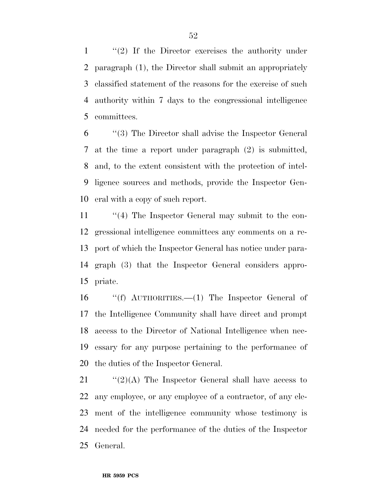''(2) If the Director exercises the authority under paragraph (1), the Director shall submit an appropriately classified statement of the reasons for the exercise of such authority within 7 days to the congressional intelligence committees.

 ''(3) The Director shall advise the Inspector General at the time a report under paragraph (2) is submitted, and, to the extent consistent with the protection of intel- ligence sources and methods, provide the Inspector Gen-eral with a copy of such report.

 ''(4) The Inspector General may submit to the con- gressional intelligence committees any comments on a re- port of which the Inspector General has notice under para- graph (3) that the Inspector General considers appro-priate.

 ''(f) AUTHORITIES.—(1) The Inspector General of the Intelligence Community shall have direct and prompt access to the Director of National Intelligence when nec- essary for any purpose pertaining to the performance of the duties of the Inspector General.

 $\frac{1}{2}(2)(A)$  The Inspector General shall have access to any employee, or any employee of a contractor, of any ele- ment of the intelligence community whose testimony is needed for the performance of the duties of the Inspector General.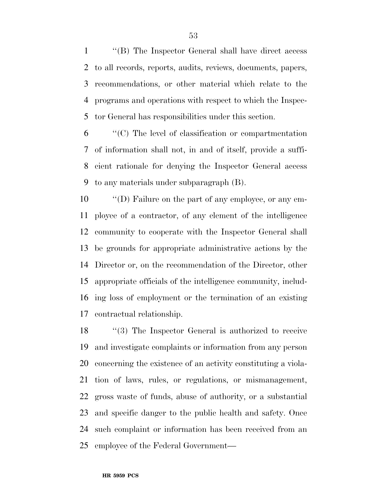''(B) The Inspector General shall have direct access to all records, reports, audits, reviews, documents, papers, recommendations, or other material which relate to the programs and operations with respect to which the Inspec-tor General has responsibilities under this section.

 ''(C) The level of classification or compartmentation of information shall not, in and of itself, provide a suffi- cient rationale for denying the Inspector General access to any materials under subparagraph (B).

 ''(D) Failure on the part of any employee, or any em- ployee of a contractor, of any element of the intelligence community to cooperate with the Inspector General shall be grounds for appropriate administrative actions by the Director or, on the recommendation of the Director, other appropriate officials of the intelligence community, includ- ing loss of employment or the termination of an existing contractual relationship.

18 "(3) The Inspector General is authorized to receive and investigate complaints or information from any person concerning the existence of an activity constituting a viola- tion of laws, rules, or regulations, or mismanagement, gross waste of funds, abuse of authority, or a substantial and specific danger to the public health and safety. Once such complaint or information has been received from an employee of the Federal Government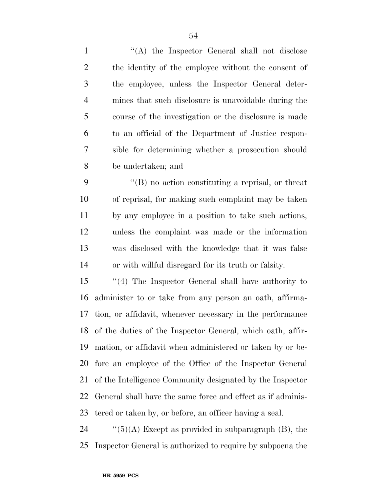1 ''(A) the Inspector General shall not disclose the identity of the employee without the consent of the employee, unless the Inspector General deter- mines that such disclosure is unavoidable during the course of the investigation or the disclosure is made to an official of the Department of Justice respon- sible for determining whether a prosecution should be undertaken; and

 ''(B) no action constituting a reprisal, or threat of reprisal, for making such complaint may be taken by any employee in a position to take such actions, unless the complaint was made or the information was disclosed with the knowledge that it was false or with willful disregard for its truth or falsity.

 ''(4) The Inspector General shall have authority to administer to or take from any person an oath, affirma- tion, or affidavit, whenever necessary in the performance of the duties of the Inspector General, which oath, affir- mation, or affidavit when administered or taken by or be- fore an employee of the Office of the Inspector General of the Intelligence Community designated by the Inspector General shall have the same force and effect as if adminis-tered or taken by, or before, an officer having a seal.

24  $\frac{1}{2}$  (5)(A) Except as provided in subparagraph (B), the Inspector General is authorized to require by subpoena the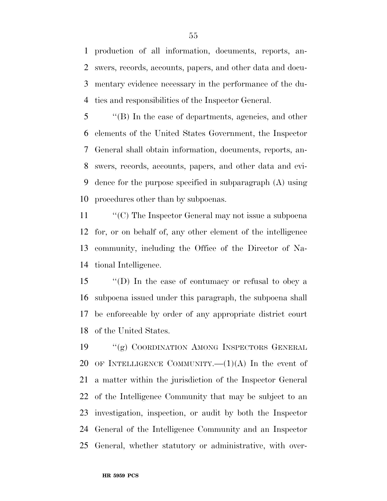production of all information, documents, reports, an- swers, records, accounts, papers, and other data and docu- mentary evidence necessary in the performance of the du-ties and responsibilities of the Inspector General.

 ''(B) In the case of departments, agencies, and other elements of the United States Government, the Inspector General shall obtain information, documents, reports, an- swers, records, accounts, papers, and other data and evi- dence for the purpose specified in subparagraph (A) using procedures other than by subpoenas.

 ''(C) The Inspector General may not issue a subpoena for, or on behalf of, any other element of the intelligence community, including the Office of the Director of Na-tional Intelligence.

 ''(D) In the case of contumacy or refusal to obey a subpoena issued under this paragraph, the subpoena shall be enforceable by order of any appropriate district court of the United States.

 ''(g) COORDINATION AMONG INSPECTORS GENERAL 20 OF INTELLIGENCE COMMUNITY.  $-(1)(A)$  In the event of a matter within the jurisdiction of the Inspector General of the Intelligence Community that may be subject to an investigation, inspection, or audit by both the Inspector General of the Intelligence Community and an Inspector General, whether statutory or administrative, with over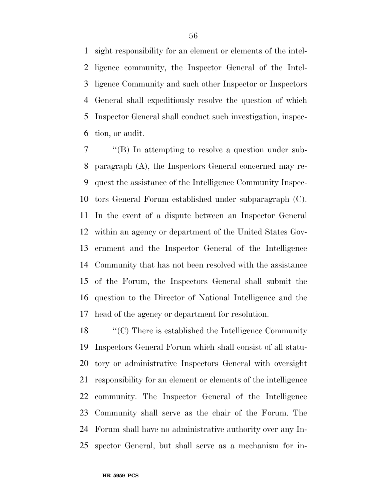sight responsibility for an element or elements of the intel- ligence community, the Inspector General of the Intel- ligence Community and such other Inspector or Inspectors General shall expeditiously resolve the question of which Inspector General shall conduct such investigation, inspec-tion, or audit.

 ''(B) In attempting to resolve a question under sub- paragraph (A), the Inspectors General concerned may re- quest the assistance of the Intelligence Community Inspec- tors General Forum established under subparagraph (C). In the event of a dispute between an Inspector General within an agency or department of the United States Gov- ernment and the Inspector General of the Intelligence Community that has not been resolved with the assistance of the Forum, the Inspectors General shall submit the question to the Director of National Intelligence and the head of the agency or department for resolution.

 ''(C) There is established the Intelligence Community Inspectors General Forum which shall consist of all statu- tory or administrative Inspectors General with oversight responsibility for an element or elements of the intelligence community. The Inspector General of the Intelligence Community shall serve as the chair of the Forum. The Forum shall have no administrative authority over any In-spector General, but shall serve as a mechanism for in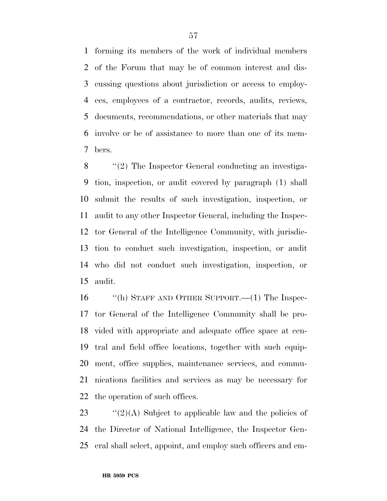forming its members of the work of individual members of the Forum that may be of common interest and dis- cussing questions about jurisdiction or access to employ- ees, employees of a contractor, records, audits, reviews, documents, recommendations, or other materials that may involve or be of assistance to more than one of its mem-bers.

8 "(2) The Inspector General conducting an investiga- tion, inspection, or audit covered by paragraph (1) shall submit the results of such investigation, inspection, or audit to any other Inspector General, including the Inspec- tor General of the Intelligence Community, with jurisdic- tion to conduct such investigation, inspection, or audit who did not conduct such investigation, inspection, or audit.

 ''(h) STAFF AND OTHER SUPPORT.—(1) The Inspec- tor General of the Intelligence Community shall be pro- vided with appropriate and adequate office space at cen- tral and field office locations, together with such equip- ment, office supplies, maintenance services, and commu- nications facilities and services as may be necessary for the operation of such offices.

23  $\frac{1}{2}(2)(A)$  Subject to applicable law and the policies of the Director of National Intelligence, the Inspector Gen-eral shall select, appoint, and employ such officers and em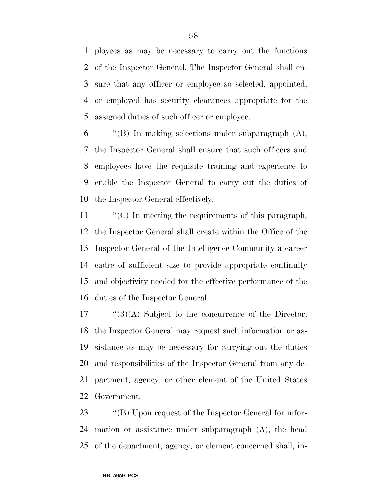ployees as may be necessary to carry out the functions of the Inspector General. The Inspector General shall en- sure that any officer or employee so selected, appointed, or employed has security clearances appropriate for the assigned duties of such officer or employee.

 $\qquad$  "(B) In making selections under subparagraph (A), the Inspector General shall ensure that such officers and employees have the requisite training and experience to enable the Inspector General to carry out the duties of the Inspector General effectively.

 ''(C) In meeting the requirements of this paragraph, the Inspector General shall create within the Office of the Inspector General of the Intelligence Community a career cadre of sufficient size to provide appropriate continuity and objectivity needed for the effective performance of the duties of the Inspector General.

 "(3)(A) Subject to the concurrence of the Director, the Inspector General may request such information or as- sistance as may be necessary for carrying out the duties and responsibilities of the Inspector General from any de- partment, agency, or other element of the United States Government.

23 "'(B) Upon request of the Inspector General for infor- mation or assistance under subparagraph (A), the head of the department, agency, or element concerned shall, in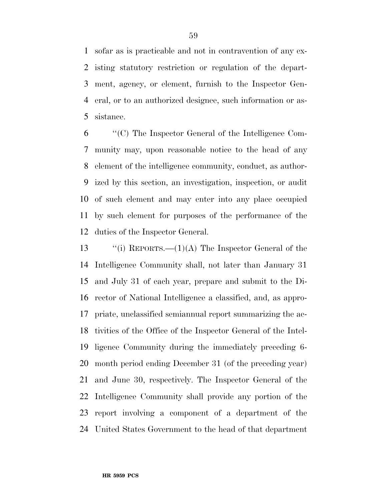sofar as is practicable and not in contravention of any ex- isting statutory restriction or regulation of the depart- ment, agency, or element, furnish to the Inspector Gen- eral, or to an authorized designee, such information or as-sistance.

 ''(C) The Inspector General of the Intelligence Com- munity may, upon reasonable notice to the head of any element of the intelligence community, conduct, as author- ized by this section, an investigation, inspection, or audit of such element and may enter into any place occupied by such element for purposes of the performance of the duties of the Inspector General.

 $\qquad$  "(i) REPORTS.—(1)(A) The Inspector General of the Intelligence Community shall, not later than January 31 and July 31 of each year, prepare and submit to the Di- rector of National Intelligence a classified, and, as appro- priate, unclassified semiannual report summarizing the ac- tivities of the Office of the Inspector General of the Intel- ligence Community during the immediately preceding 6- month period ending December 31 (of the preceding year) and June 30, respectively. The Inspector General of the Intelligence Community shall provide any portion of the report involving a component of a department of the United States Government to the head of that department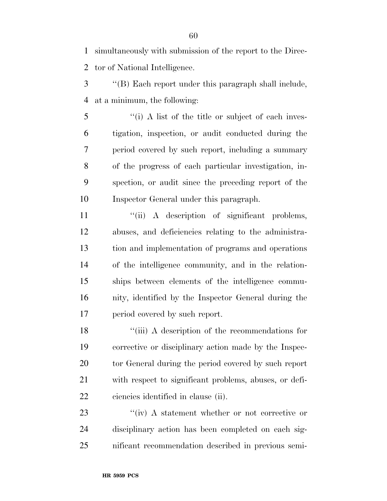simultaneously with submission of the report to the Direc-tor of National Intelligence.

 ''(B) Each report under this paragraph shall include, at a minimum, the following:

 ''(i) A list of the title or subject of each inves- tigation, inspection, or audit conducted during the period covered by such report, including a summary of the progress of each particular investigation, in- spection, or audit since the preceding report of the Inspector General under this paragraph.

 $\frac{1}{\sin \theta}$  A description of significant problems, abuses, and deficiencies relating to the administra- tion and implementation of programs and operations of the intelligence community, and in the relation- ships between elements of the intelligence commu- nity, identified by the Inspector General during the period covered by such report.

18 ''(iii) A description of the recommendations for corrective or disciplinary action made by the Inspec- tor General during the period covered by such report with respect to significant problems, abuses, or defi-ciencies identified in clause (ii).

23 ''(iv) A statement whether or not corrective or disciplinary action has been completed on each sig-nificant recommendation described in previous semi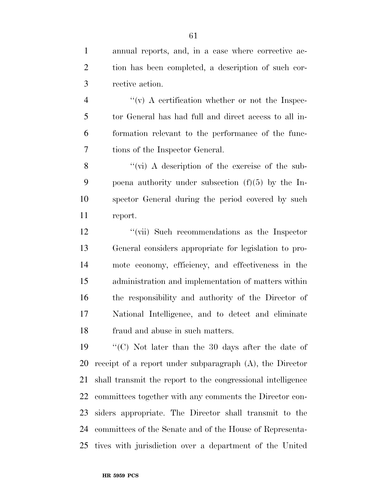annual reports, and, in a case where corrective ac- tion has been completed, a description of such cor-rective action.

 $\frac{4}{10}$  ''(v) A certification whether or not the Inspec- tor General has had full and direct access to all in- formation relevant to the performance of the func-tions of the Inspector General.

8 "(vi) A description of the exercise of the sub- poena authority under subsection (f)(5) by the In- spector General during the period covered by such report.

 ''(vii) Such recommendations as the Inspector General considers appropriate for legislation to pro- mote economy, efficiency, and effectiveness in the administration and implementation of matters within the responsibility and authority of the Director of National Intelligence, and to detect and eliminate fraud and abuse in such matters.

 ''(C) Not later than the 30 days after the date of receipt of a report under subparagraph (A), the Director shall transmit the report to the congressional intelligence committees together with any comments the Director con- siders appropriate. The Director shall transmit to the committees of the Senate and of the House of Representa-tives with jurisdiction over a department of the United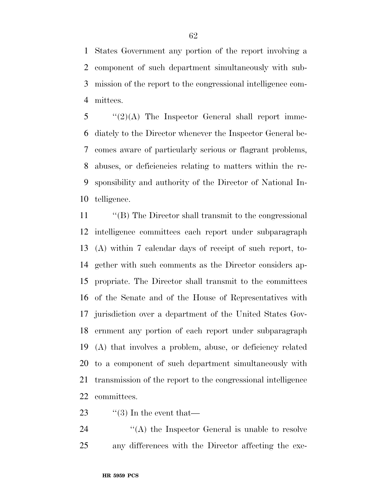States Government any portion of the report involving a component of such department simultaneously with sub- mission of the report to the congressional intelligence com-mittees.

 "(2)(A) The Inspector General shall report imme- diately to the Director whenever the Inspector General be- comes aware of particularly serious or flagrant problems, abuses, or deficiencies relating to matters within the re- sponsibility and authority of the Director of National In-telligence.

 ''(B) The Director shall transmit to the congressional intelligence committees each report under subparagraph (A) within 7 calendar days of receipt of such report, to- gether with such comments as the Director considers ap- propriate. The Director shall transmit to the committees of the Senate and of the House of Representatives with jurisdiction over a department of the United States Gov- ernment any portion of each report under subparagraph (A) that involves a problem, abuse, or deficiency related to a component of such department simultaneously with transmission of the report to the congressional intelligence committees.

23  $\frac{1}{2}$  (3) In the event that

24 ''(A) the Inspector General is unable to resolve any differences with the Director affecting the exe-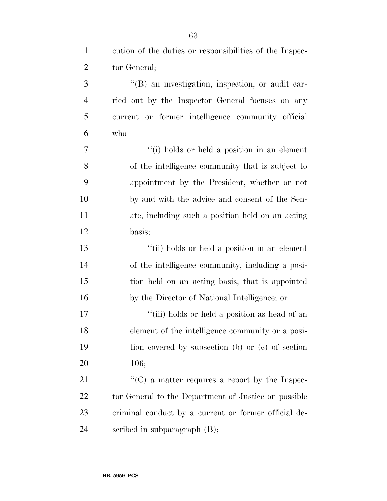cution of the duties or responsibilities of the Inspec- tor General; 3 "(B) an investigation, inspection, or audit car- ried out by the Inspector General focuses on any current or former intelligence community official  $6 \text{ who}$ — ''(i) holds or held a position in an element of the intelligence community that is subject to appointment by the President, whether or not by and with the advice and consent of the Sen- ate, including such a position held on an acting basis; ''(ii) holds or held a position in an element of the intelligence community, including a posi- tion held on an acting basis, that is appointed by the Director of National Intelligence; or 17 ''(iii) holds or held a position as head of an element of the intelligence community or a posi- tion covered by subsection (b) or (c) of section 106; 21 ''(C) a matter requires a report by the Inspec-22 tor General to the Department of Justice on possible criminal conduct by a current or former official de-scribed in subparagraph (B);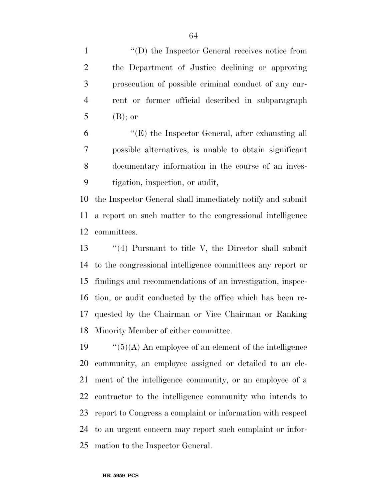$\langle (D) \rangle$  the Inspector General receives notice from the Department of Justice declining or approving prosecution of possible criminal conduct of any cur- rent or former official described in subparagraph (B); or

 ''(E) the Inspector General, after exhausting all possible alternatives, is unable to obtain significant documentary information in the course of an inves-tigation, inspection, or audit,

 the Inspector General shall immediately notify and submit a report on such matter to the congressional intelligence committees.

 ''(4) Pursuant to title V, the Director shall submit to the congressional intelligence committees any report or findings and recommendations of an investigation, inspec- tion, or audit conducted by the office which has been re- quested by the Chairman or Vice Chairman or Ranking Minority Member of either committee.

 $\frac{1}{5}(A)$  An employee of an element of the intelligence community, an employee assigned or detailed to an ele- ment of the intelligence community, or an employee of a contractor to the intelligence community who intends to report to Congress a complaint or information with respect to an urgent concern may report such complaint or infor-mation to the Inspector General.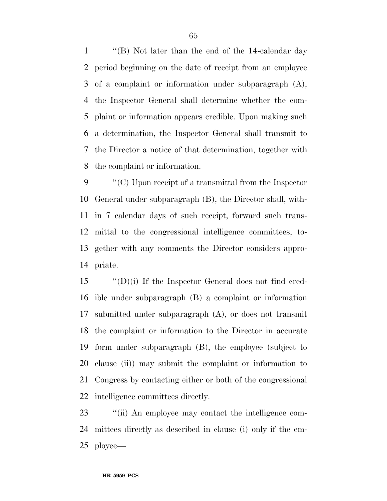''(B) Not later than the end of the 14-calendar day period beginning on the date of receipt from an employee of a complaint or information under subparagraph (A), the Inspector General shall determine whether the com- plaint or information appears credible. Upon making such a determination, the Inspector General shall transmit to the Director a notice of that determination, together with the complaint or information.

 ''(C) Upon receipt of a transmittal from the Inspector General under subparagraph (B), the Director shall, with- in 7 calendar days of such receipt, forward such trans- mittal to the congressional intelligence committees, to- gether with any comments the Director considers appro-priate.

 $\langle$   $\langle$   $\langle$  D $\rangle$ (i) If the Inspector General does not find cred- ible under subparagraph (B) a complaint or information submitted under subparagraph (A), or does not transmit the complaint or information to the Director in accurate form under subparagraph (B), the employee (subject to clause (ii)) may submit the complaint or information to Congress by contacting either or both of the congressional intelligence committees directly.

23  $\frac{1}{2}$  (ii) An employee may contact the intelligence com- mittees directly as described in clause (i) only if the em-ployee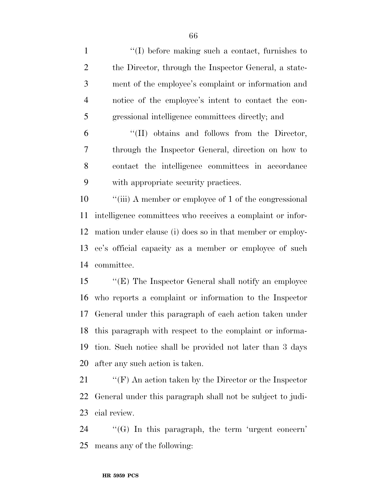1 ''(I) before making such a contact, furnishes to 2 the Director, through the Inspector General, a state- ment of the employee's complaint or information and notice of the employee's intent to contact the con-gressional intelligence committees directly; and

 ''(II) obtains and follows from the Director, through the Inspector General, direction on how to contact the intelligence committees in accordance with appropriate security practices.

10 "(iii) A member or employee of 1 of the congressional intelligence committees who receives a complaint or infor- mation under clause (i) does so in that member or employ- ee's official capacity as a member or employee of such committee.

 ''(E) The Inspector General shall notify an employee who reports a complaint or information to the Inspector General under this paragraph of each action taken under this paragraph with respect to the complaint or informa- tion. Such notice shall be provided not later than 3 days after any such action is taken.

 ''(F) An action taken by the Director or the Inspector General under this paragraph shall not be subject to judi-cial review.

 ''(G) In this paragraph, the term 'urgent concern' means any of the following: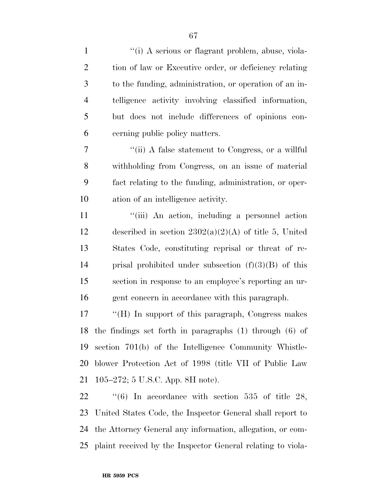1 ''(i) A serious or flagrant problem, abuse, viola-

| $\overline{2}$ | tion of law or Executive order, or deficiency relating      |
|----------------|-------------------------------------------------------------|
| $\mathfrak{Z}$ | to the funding, administration, or operation of an in-      |
| $\overline{4}$ | telligence activity involving classified information,       |
| 5              | but does not include differences of opinions con-           |
| 6              | cerning public policy matters.                              |
| $\tau$         | "(ii) A false statement to Congress, or a willful           |
| 8              | withholding from Congress, on an issue of material          |
| 9              | fact relating to the funding, administration, or oper-      |
| 10             | ation of an intelligence activity.                          |
| 11             | "(iii) An action, including a personnel action              |
| 12             | described in section $2302(a)(2)(A)$ of title 5, United     |
| 13             | States Code, constituting reprisal or threat of re-         |
| 14             | prisal prohibited under subsection $(f)(3)(B)$ of this      |
| 15             | section in response to an employee's reporting an ur-       |
| 16             | gent concern in accordance with this paragraph.             |
| 17             | "(H) In support of this paragraph, Congress makes           |
| 18             | the findings set forth in paragraphs (1) through (6) of     |
|                | 19 section 701(b) of the Intelligence Community Whistle-    |
| 20             | blower Protection Act of 1998 (title VII of Public Law      |
| 21             | 105–272; 5 U.S.C. App. 8H note).                            |
| 22             | "(6) In accordance with section 535 of title 28,            |
| 23             | United States Code, the Inspector General shall report to   |
| 24             | the Attorney General any information, allegation, or com-   |
| 25             | plaint received by the Inspector General relating to viola- |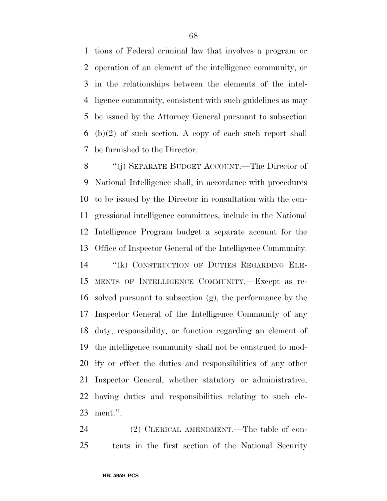tions of Federal criminal law that involves a program or operation of an element of the intelligence community, or in the relationships between the elements of the intel- ligence community, consistent with such guidelines as may be issued by the Attorney General pursuant to subsection (b)(2) of such section. A copy of each such report shall be furnished to the Director.

 ''(j) SEPARATE BUDGET ACCOUNT.—The Director of National Intelligence shall, in accordance with procedures to be issued by the Director in consultation with the con- gressional intelligence committees, include in the National Intelligence Program budget a separate account for the Office of Inspector General of the Intelligence Community. ''(k) CONSTRUCTION OF DUTIES REGARDING ELE- MENTS OF INTELLIGENCE COMMUNITY.—Except as re- solved pursuant to subsection (g), the performance by the Inspector General of the Intelligence Community of any duty, responsibility, or function regarding an element of the intelligence community shall not be construed to mod- ify or effect the duties and responsibilities of any other Inspector General, whether statutory or administrative, having duties and responsibilities relating to such ele-ment.''.

24 (2) CLERICAL AMENDMENT.—The table of con-tents in the first section of the National Security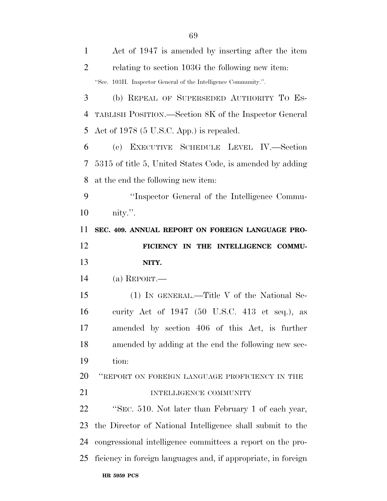| $\mathbf{1}$         | Act of 1947 is amended by inserting after the item             |
|----------------------|----------------------------------------------------------------|
| $\overline{2}$       | relating to section 103G the following new item:               |
|                      | "Sec. 103H. Inspector General of the Intelligence Community.". |
| 3                    | (b) REPEAL OF SUPERSEDED AUTHORITY TO ES-                      |
| 4                    | TABLISH POSITION.—Section 8K of the Inspector General          |
| 5                    | Act of 1978 (5 U.S.C. App.) is repealed.                       |
| 6                    | (c) EXECUTIVE SCHEDULE LEVEL IV.-Section                       |
| 7                    | 5315 of title 5, United States Code, is amended by adding      |
| 8                    | at the end the following new item:                             |
| 9                    | "Inspector General of the Intelligence Commu-                  |
| 10                   | nity.".                                                        |
| 11                   | SEC. 409. ANNUAL REPORT ON FOREIGN LANGUAGE PRO-               |
| 12                   | FICIENCY IN THE INTELLIGENCE COMMU-                            |
|                      |                                                                |
| 13                   | NITY.                                                          |
| 14                   | (a) REPORT.—                                                   |
| 15                   | (1) IN GENERAL.—Title V of the National Se-                    |
| 16                   | curity Act of $1947$ (50 U.S.C. 413 et seq.), as               |
| 17                   | amended by section 406 of this Act, is further                 |
|                      | amended by adding at the end the following new sec-            |
|                      | tion:                                                          |
|                      | "REPORT ON FOREIGN LANGUAGE PROFICIENCY IN THE                 |
| 18<br>19<br>20<br>21 | INTELLIGENCE COMMUNITY                                         |
| 22                   | "SEC. 510. Not later than February 1 of each year,             |
| 23                   | the Director of National Intelligence shall submit to the      |
| 24                   | congressional intelligence committees a report on the pro-     |
| 25                   | ficiency in foreign languages and, if appropriate, in foreign  |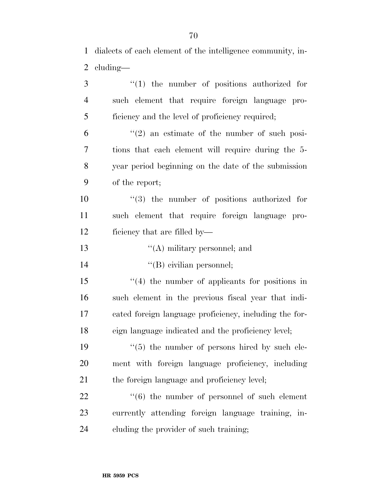| 3              | $\lq(1)$ the number of positions authorized for           |
|----------------|-----------------------------------------------------------|
| $\overline{4}$ | such element that require foreign language pro-           |
| 5              | ficiency and the level of proficiency required;           |
| 6              | $\lq(2)$ an estimate of the number of such posi-          |
| 7              | tions that each element will require during the 5-        |
| 8              | year period beginning on the date of the submission       |
| 9              | of the report;                                            |
| 10             | $(3)$ the number of positions authorized for              |
| 11             | such element that require foreign language pro-           |
| 12             | ficiency that are filled by—                              |
| 13             | $\lq\lq$ military personnel; and                          |
| 14             | "(B) civilian personnel;                                  |
| 15             | $\cdot$ (4) the number of applicants for positions in     |
| 16             | such element in the previous fiscal year that indi-       |
| 17             | cated foreign language proficiency, including the for-    |
| 18             | eign language indicated and the proficiency level;        |
| 19             | $\cdot\cdot$ (5) the number of persons hired by such ele- |
| 20             | ment with foreign language proficiency, including         |
| 21             | the foreign language and proficiency level;               |
| 22             | $\cdot\cdot$ (6) the number of personnel of such element  |
| 23             | currently attending foreign language training, in-        |
| 24             | eluding the provider of such training;                    |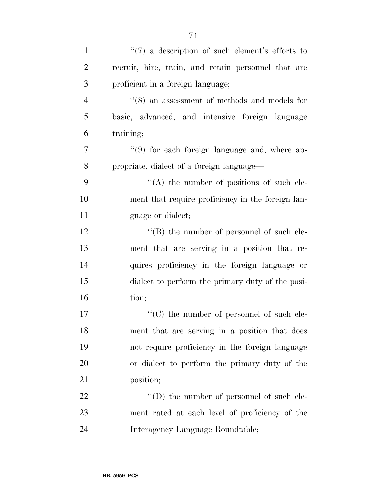| $\mathbf{1}$   | $\lq(7)$ a description of such element's efforts to |
|----------------|-----------------------------------------------------|
| $\overline{2}$ | recruit, hire, train, and retain personnel that are |
| 3              | proficient in a foreign language;                   |
| $\overline{4}$ | $(8)$ an assessment of methods and models for       |
| 5              | basic, advanced, and intensive foreign language     |
| 6              | training;                                           |
| $\tau$         | "(9) for each foreign language and, where ap-       |
| 8              | propriate, dialect of a foreign language-           |
| 9              | $\lq\lq$ the number of positions of such ele-       |
| 10             | ment that require proficiency in the foreign lan-   |
| 11             | guage or dialect;                                   |
| 12             | $\lq\lq (B)$ the number of personnel of such ele-   |
| 13             | ment that are serving in a position that re-        |
| 14             | quires proficiency in the foreign language or       |
| 15             | dialect to perform the primary duty of the posi-    |
| 16             | tion;                                               |
| 17             | $\lq\lq$ (C) the number of personnel of such ele-   |
| 18             | ment that are serving in a position that does       |
| 19             | not require proficiency in the foreign language     |
| 20             | or dialect to perform the primary duty of the       |
| 21             | position;                                           |
| 22             | $\lq\lq$ the number of personnel of such ele-       |
| 23             | ment rated at each level of proficiency of the      |
| 24             | Interagency Language Roundtable;                    |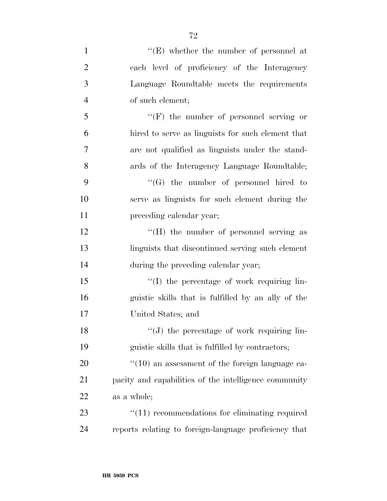| $\mathbf{1}$   | "(E) whether the number of personnel at                   |
|----------------|-----------------------------------------------------------|
| $\overline{2}$ | each level of proficiency of the Interagency              |
| 3              | Language Roundtable meets the requirements                |
| $\overline{4}$ | of such element;                                          |
| 5              | $\lq\lq(F)$ the number of personnel serving or            |
| 6              | hired to serve as linguists for such element that         |
| $\tau$         | are not qualified as linguists under the stand-           |
| 8              | ards of the Interagency Language Roundtable;              |
| 9              | $\lq\lq(G)$ the number of personnel hired to              |
| 10             | serve as linguists for such element during the            |
| 11             | preceding calendar year;                                  |
| 12             | "(H) the number of personnel serving as                   |
| 13             | linguists that discontinued serving such element          |
| 14             | during the preceding calendar year;                       |
| 15             | "(I) the percentage of work requiring lin-                |
| 16             | guistic skills that is fulfilled by an ally of the        |
| 17             | United States; and                                        |
| 18             | "(J) the percentage of work requiring lin-                |
| 19             | guistic skills that is fulfilled by contractors;          |
| 20             | $\degree$ (10) an assessment of the foreign language ca-  |
| 21             | pacity and capabilities of the intelligence community     |
| 22             | as a whole;                                               |
| 23             | $\cdot\cdot(11)$ recommendations for eliminating required |

reports relating to foreign-language proficiency that

**HR 5959 PCS**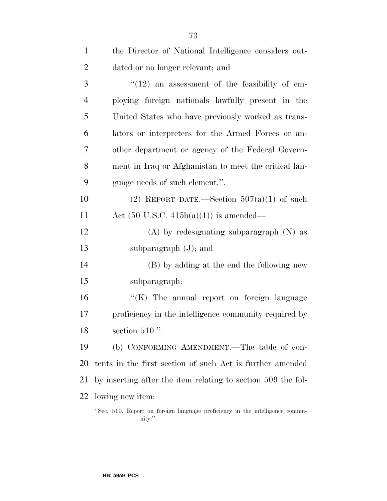| $\mathbf{1}$   | the Director of National Intelligence considers out-                       |
|----------------|----------------------------------------------------------------------------|
| $\overline{2}$ | dated or no longer relevant; and                                           |
| 3              | $\degree$ (12) an assessment of the feasibility of em-                     |
| 4              | ploying foreign nationals lawfully present in the                          |
| 5              | United States who have previously worked as trans-                         |
| 6              | lators or interpreters for the Armed Forces or an-                         |
| 7              | other department or agency of the Federal Govern-                          |
| 8              | ment in Iraq or Afghanistan to meet the critical lan-                      |
| 9              | guage needs of such element.".                                             |
| 10             | (2) REPORT DATE.—Section $507(a)(1)$ of such                               |
| 11             | Act $(50 \text{ U.S.C. } 415b(a)(1))$ is amended—                          |
| 12             | $(A)$ by redesignating subparagraph $(N)$ as                               |
| 13             | subparagraph $(J)$ ; and                                                   |
| 14             | (B) by adding at the end the following new                                 |
| 15             | subparagraph:                                                              |
| 16             | " $(K)$ The annual report on foreign language                              |
| 17             | proficiency in the intelligence community required by                      |
| 18             | section $510$ .".                                                          |
| 19             | (b) CONFORMING AMENDMENT.—The table of con-                                |
| 20             | tents in the first section of such Act is further amended                  |
| 21             | by inserting after the item relating to section 509 the fol-               |
| 22             | lowing new item:                                                           |
|                | "See 510 Benert on foreign language profisionar in the intelligence commun |

<sup>&#</sup>x27;'Sec. 510. Report on foreign language proficiency in the intelligence community.''.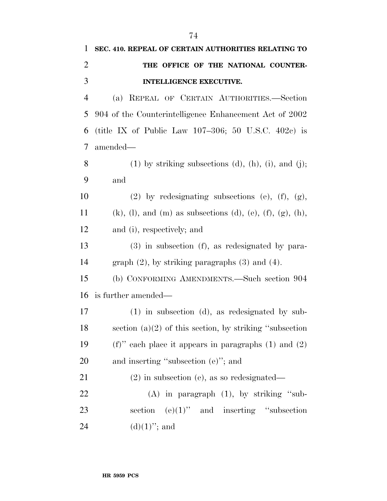| 1              | SEC. 410. REPEAL OF CERTAIN AUTHORITIES RELATING TO                              |
|----------------|----------------------------------------------------------------------------------|
| $\overline{2}$ | THE OFFICE OF THE NATIONAL COUNTER-                                              |
| 3              | <b>INTELLIGENCE EXECUTIVE.</b>                                                   |
| 4              | REPEAL OF CERTAIN AUTHORITIES.-Section<br>(a)                                    |
| 5              | 904 of the Counterintelligence Enhancement Act of 2002                           |
| 6              | (title IX of Public Law 107-306; 50 U.S.C. 402c) is                              |
| 7              | amended—                                                                         |
| 8              | $(1)$ by striking subsections $(d)$ , $(h)$ , $(i)$ , and $(j)$ ;                |
| 9              | and                                                                              |
| 10             | $(2)$ by redesignating subsections $(e)$ , $(f)$ , $(g)$ ,                       |
| 11             | $(k)$ , $(l)$ , and $(m)$ as subsections $(d)$ , $(e)$ , $(f)$ , $(g)$ , $(h)$ , |
| 12             | and (i), respectively; and                                                       |
| 13             | $(3)$ in subsection $(f)$ , as redesignated by para-                             |
| 14             | graph $(2)$ , by striking paragraphs $(3)$ and $(4)$ .                           |
| 15             | (b) CONFORMING AMENDMENTS.—Such section 904                                      |
| 16             | is further amended—                                                              |
| 17             | $(1)$ in subsection $(d)$ , as redesignated by sub-                              |
| 18             | section $(a)(2)$ of this section, by striking "subsection                        |
| 19             | (f)" each place it appears in paragraphs $(1)$ and $(2)$                         |
| 20             | and inserting "subsection $(e)$ "; and                                           |
| 21             | $(2)$ in subsection (e), as so redesignated—                                     |
| 22             | $(A)$ in paragraph $(1)$ , by striking "sub-                                     |
| 23             | section $(e)(1)$ " and inserting "subsection                                     |
| 24             | $(d)(1)$ "; and                                                                  |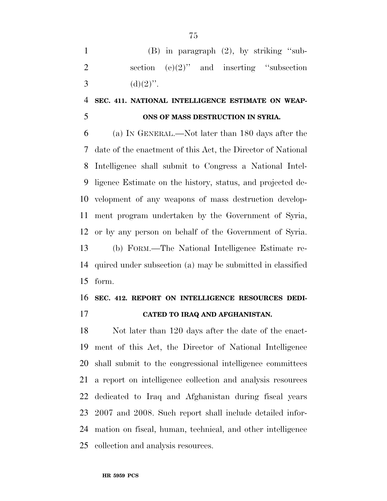(B) in paragraph (2), by striking ''sub-2 section  $(e)(2)$ " and inserting "subsection 3 (d)(2)''.

## **SEC. 411. NATIONAL INTELLIGENCE ESTIMATE ON WEAP-ONS OF MASS DESTRUCTION IN SYRIA.**

 (a) IN GENERAL.—Not later than 180 days after the date of the enactment of this Act, the Director of National Intelligence shall submit to Congress a National Intel- ligence Estimate on the history, status, and projected de- velopment of any weapons of mass destruction develop- ment program undertaken by the Government of Syria, or by any person on behalf of the Government of Syria. (b) FORM.—The National Intelligence Estimate re- quired under subsection (a) may be submitted in classified form.

# **SEC. 412. REPORT ON INTELLIGENCE RESOURCES DEDI-**

**CATED TO IRAQ AND AFGHANISTAN.** 

 Not later than 120 days after the date of the enact- ment of this Act, the Director of National Intelligence shall submit to the congressional intelligence committees a report on intelligence collection and analysis resources dedicated to Iraq and Afghanistan during fiscal years 2007 and 2008. Such report shall include detailed infor- mation on fiscal, human, technical, and other intelligence collection and analysis resources.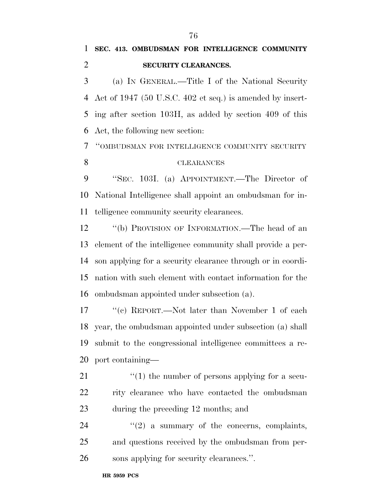# **SEC. 413. OMBUDSMAN FOR INTELLIGENCE COMMUNITY SECURITY CLEARANCES.**

 (a) IN GENERAL.—Title I of the National Security Act of 1947 (50 U.S.C. 402 et seq.) is amended by insert- ing after section 103H, as added by section 409 of this Act, the following new section:

''OMBUDSMAN FOR INTELLIGENCE COMMUNITY SECURITY

#### CLEARANCES

 ''SEC. 103I. (a) APPOINTMENT.—The Director of National Intelligence shall appoint an ombudsman for in-telligence community security clearances.

 ''(b) PROVISION OF INFORMATION.—The head of an element of the intelligence community shall provide a per- son applying for a security clearance through or in coordi- nation with such element with contact information for the ombudsman appointed under subsection (a).

 ''(c) REPORT.—Not later than November 1 of each year, the ombudsman appointed under subsection (a) shall submit to the congressional intelligence committees a re-port containing—

- 21  $\frac{1}{2}$  (1) the number of persons applying for a secu- rity clearance who have contacted the ombudsman during the preceding 12 months; and
- 24  $(2)$  a summary of the concerns, complaints, and questions received by the ombudsman from per-sons applying for security clearances.''.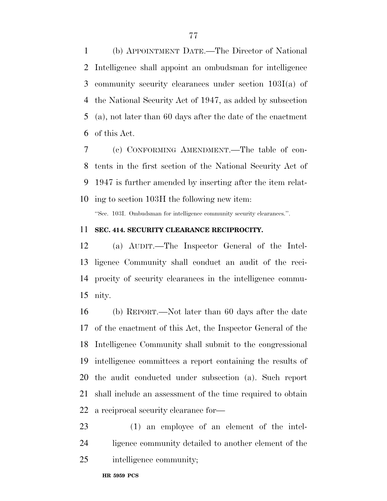(b) APPOINTMENT DATE.—The Director of National Intelligence shall appoint an ombudsman for intelligence community security clearances under section 103I(a) of the National Security Act of 1947, as added by subsection (a), not later than 60 days after the date of the enactment of this Act.

 (c) CONFORMING AMENDMENT.—The table of con- tents in the first section of the National Security Act of 1947 is further amended by inserting after the item relat-ing to section 103H the following new item:

''Sec. 103I. Ombudsman for intelligence community security clearances.''.

#### **SEC. 414. SECURITY CLEARANCE RECIPROCITY.**

 (a) AUDIT.—The Inspector General of the Intel- ligence Community shall conduct an audit of the reci- procity of security clearances in the intelligence commu-nity.

 (b) REPORT.—Not later than 60 days after the date of the enactment of this Act, the Inspector General of the Intelligence Community shall submit to the congressional intelligence committees a report containing the results of the audit conducted under subsection (a). Such report shall include an assessment of the time required to obtain a reciprocal security clearance for—

 (1) an employee of an element of the intel- ligence community detailed to another element of the intelligence community;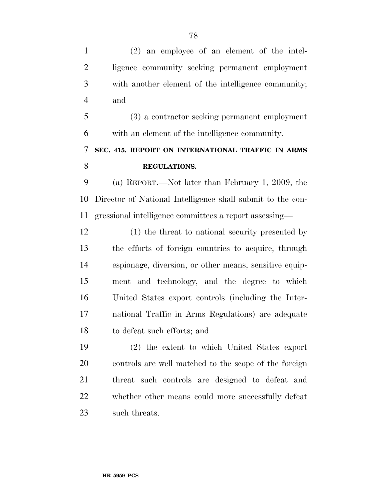(2) an employee of an element of the intel- ligence community seeking permanent employment with another element of the intelligence community; and

 (3) a contractor seeking permanent employment with an element of the intelligence community.

# **SEC. 415. REPORT ON INTERNATIONAL TRAFFIC IN ARMS REGULATIONS.**

 (a) REPORT.—Not later than February 1, 2009, the Director of National Intelligence shall submit to the con-gressional intelligence committees a report assessing—

 (1) the threat to national security presented by the efforts of foreign countries to acquire, through espionage, diversion, or other means, sensitive equip- ment and technology, and the degree to which United States export controls (including the Inter- national Traffic in Arms Regulations) are adequate to defeat such efforts; and

 (2) the extent to which United States export controls are well matched to the scope of the foreign threat such controls are designed to defeat and whether other means could more successfully defeat such threats.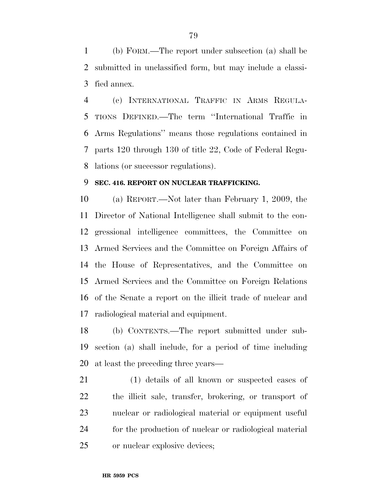(b) FORM.—The report under subsection (a) shall be submitted in unclassified form, but may include a classi-fied annex.

 (c) INTERNATIONAL TRAFFIC IN ARMS REGULA- TIONS DEFINED.—The term ''International Traffic in Arms Regulations'' means those regulations contained in parts 120 through 130 of title 22, Code of Federal Regu-lations (or successor regulations).

#### **SEC. 416. REPORT ON NUCLEAR TRAFFICKING.**

 (a) REPORT.—Not later than February 1, 2009, the Director of National Intelligence shall submit to the con- gressional intelligence committees, the Committee on Armed Services and the Committee on Foreign Affairs of the House of Representatives, and the Committee on Armed Services and the Committee on Foreign Relations of the Senate a report on the illicit trade of nuclear and radiological material and equipment.

 (b) CONTENTS.—The report submitted under sub- section (a) shall include, for a period of time including at least the preceding three years—

 (1) details of all known or suspected cases of the illicit sale, transfer, brokering, or transport of nuclear or radiological material or equipment useful for the production of nuclear or radiological material or nuclear explosive devices;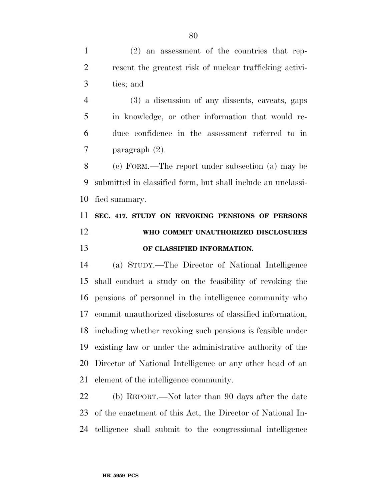(2) an assessment of the countries that rep- resent the greatest risk of nuclear trafficking activi-ties; and

 (3) a discussion of any dissents, caveats, gaps in knowledge, or other information that would re- duce confidence in the assessment referred to in paragraph (2).

 (c) FORM.—The report under subsection (a) may be submitted in classified form, but shall include an unclassi-fied summary.

# **SEC. 417. STUDY ON REVOKING PENSIONS OF PERSONS WHO COMMIT UNAUTHORIZED DISCLOSURES OF CLASSIFIED INFORMATION.**

 (a) STUDY.—The Director of National Intelligence shall conduct a study on the feasibility of revoking the pensions of personnel in the intelligence community who commit unauthorized disclosures of classified information, including whether revoking such pensions is feasible under existing law or under the administrative authority of the Director of National Intelligence or any other head of an element of the intelligence community.

 (b) REPORT.—Not later than 90 days after the date of the enactment of this Act, the Director of National In-telligence shall submit to the congressional intelligence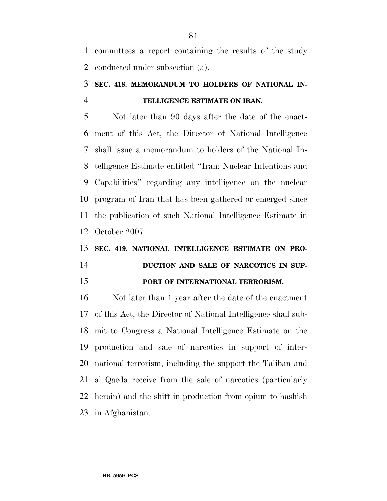committees a report containing the results of the study conducted under subsection (a).

## **SEC. 418. MEMORANDUM TO HOLDERS OF NATIONAL IN-TELLIGENCE ESTIMATE ON IRAN.**

 Not later than 90 days after the date of the enact- ment of this Act, the Director of National Intelligence shall issue a memorandum to holders of the National In- telligence Estimate entitled ''Iran: Nuclear Intentions and Capabilities'' regarding any intelligence on the nuclear program of Iran that has been gathered or emerged since the publication of such National Intelligence Estimate in October 2007.

# **SEC. 419. NATIONAL INTELLIGENCE ESTIMATE ON PRO-DUCTION AND SALE OF NARCOTICS IN SUP-PORT OF INTERNATIONAL TERRORISM.**

 Not later than 1 year after the date of the enactment of this Act, the Director of National Intelligence shall sub- mit to Congress a National Intelligence Estimate on the production and sale of narcotics in support of inter- national terrorism, including the support the Taliban and al Qaeda receive from the sale of narcotics (particularly heroin) and the shift in production from opium to hashish in Afghanistan.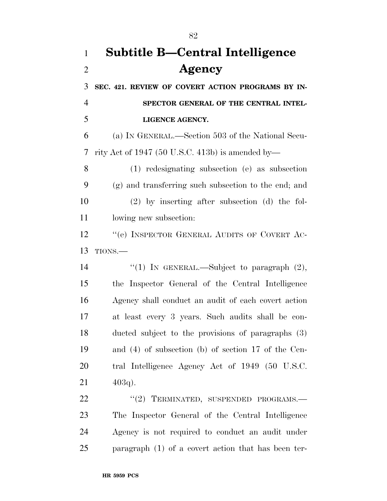# **Subtitle B—Central Intelligence Agency**

 **SEC. 421. REVIEW OF COVERT ACTION PROGRAMS BY IN- SPECTOR GENERAL OF THE CENTRAL INTEL-LIGENCE AGENCY.** 

 (a) IN GENERAL.—Section 503 of the National Secu-rity Act of 1947 (50 U.S.C. 413b) is amended by—

 (1) redesignating subsection (e) as subsection (g) and transferring such subsection to the end; and (2) by inserting after subsection (d) the fol-lowing new subsection:

12 "'(e) INSPECTOR GENERAL AUDITS OF COVERT AC-TIONS.—

 $\qquad$  ''(1) In GENERAL.—Subject to paragraph (2), the Inspector General of the Central Intelligence Agency shall conduct an audit of each covert action at least every 3 years. Such audits shall be con- ducted subject to the provisions of paragraphs (3) and (4) of subsection (b) of section 17 of the Cen- tral Intelligence Agency Act of 1949 (50 U.S.C.  $21 \t 403q$ .

22 "(2) TERMINATED, SUSPENDED PROGRAMS.— The Inspector General of the Central Intelligence Agency is not required to conduct an audit under paragraph (1) of a covert action that has been ter-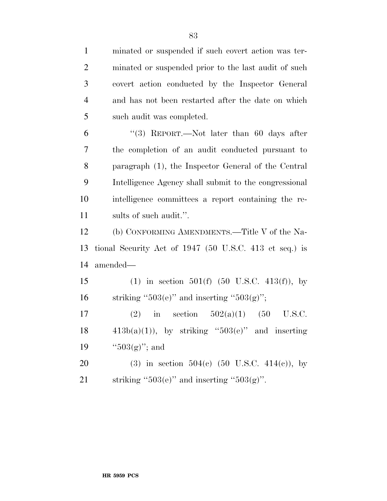| $\overline{2}$   | minated or suspended prior to the last audit of such     |
|------------------|----------------------------------------------------------|
| 3                | covert action conducted by the Inspector General         |
| $\overline{4}$   | and has not been restarted after the date on which       |
| 5                | such audit was completed.                                |
| 6                | "(3) REPORT.—Not later than 60 days after                |
| $\boldsymbol{7}$ | the completion of an audit conducted pursuant to         |
| 8                | paragraph (1), the Inspector General of the Central      |
| 9                | Intelligence Agency shall submit to the congressional    |
| 10               | intelligence committees a report containing the re-      |
| 11               | sults of such audit.".                                   |
| 12               | (b) CONFORMING AMENDMENTS.—Title V of the Na-            |
| 13               | tional Security Act of 1947 (50 U.S.C. 413 et seq.) is   |
| 14               | amended—                                                 |
| 15               | (1) in section 501(f) $(50 \text{ U.S.C. } 413(f))$ , by |
| 16               | striking " $503(e)$ " and inserting " $503(g)$ ";        |
| 17               | in section $502(a)(1)$ (50<br>(2)<br>U.S.C.              |
| 18               | $413b(a)(1)$ , by striking "503(e)" and inserting        |
| 19               | " $503(g)$ "; and                                        |
| 20               | (3) in section $504(c)$ (50 U.S.C. $414(c)$ ), by        |
| 21               | striking " $503(e)$ " and inserting " $503(g)$ ".        |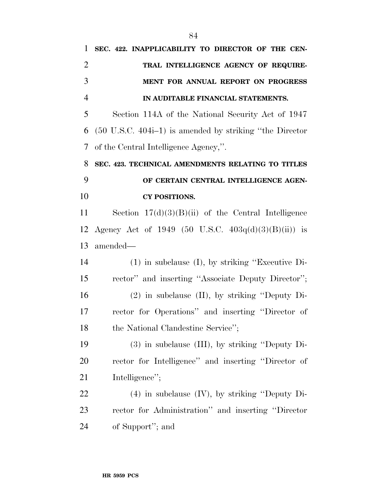| 1              | SEC. 422. INAPPLICABILITY TO DIRECTOR OF THE CEN-                   |
|----------------|---------------------------------------------------------------------|
| $\overline{2}$ | TRAL INTELLIGENCE AGENCY OF REQUIRE-                                |
| 3              | MENT FOR ANNUAL REPORT ON PROGRESS                                  |
| $\overline{4}$ | IN AUDITABLE FINANCIAL STATEMENTS.                                  |
| 5              | Section 114A of the National Security Act of 1947                   |
| 6              | $(50 \text{ U.S.C. } 404i-1)$ is amended by striking "the Director" |
| 7              | of the Central Intelligence Agency,".                               |
| 8              | SEC. 423. TECHNICAL AMENDMENTS RELATING TO TITLES                   |
| 9              | OF CERTAIN CENTRAL INTELLIGENCE AGEN-                               |
| 10             | <b>CY POSITIONS.</b>                                                |
| 11             | Section $17(d)(3)(B)(ii)$ of the Central Intelligence               |
| 12             | Agency Act of 1949 (50 U.S.C. $403q(d)(3)(B)(ii)$ ) is              |
| 13             | amended—                                                            |
| 14             | $(1)$ in subclause $(I)$ , by striking "Executive Di-               |
| 15             | rector" and inserting "Associate Deputy Director";                  |
| 16             | $(2)$ in subclause $(II)$ , by striking "Deputy Di-                 |
| 17             | rector for Operations" and inserting "Director of                   |
| 18             | the National Clandestine Service";                                  |
| 19             | $(3)$ in subclause $(III)$ , by striking "Deputy Di-                |
| 20             | rector for Intelligence" and inserting "Director of                 |
| 21             | Intelligence";                                                      |
| 22             | $(4)$ in subclause $(IV)$ , by striking "Deputy Di-                 |
| 23             | rector for Administration" and inserting "Director                  |
| 24             | of Support"; and                                                    |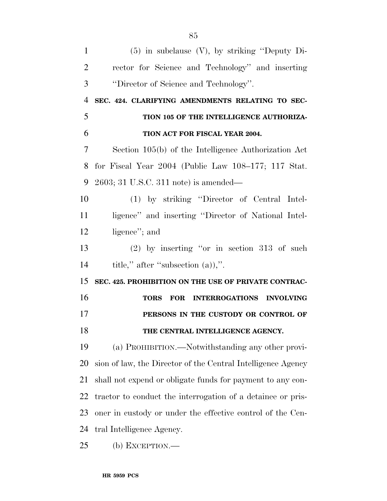| $\mathbf{1}$   | $(5)$ in subclause $(V)$ , by striking "Deputy Di-           |
|----------------|--------------------------------------------------------------|
| $\overline{2}$ | rector for Science and Technology" and inserting             |
| 3              | "Director of Science and Technology".                        |
| 4              | SEC. 424. CLARIFYING AMENDMENTS RELATING TO SEC-             |
| 5              | TION 105 OF THE INTELLIGENCE AUTHORIZA-                      |
| 6              | TION ACT FOR FISCAL YEAR 2004.                               |
| 7              | Section 105(b) of the Intelligence Authorization Act         |
| 8              | for Fiscal Year $2004$ (Public Law $108-177$ ; 117 Stat.     |
| 9              | $2603$ ; 31 U.S.C. 311 note) is amended—                     |
| 10             | (1) by striking "Director of Central Intel-                  |
| 11             | ligence" and inserting "Director of National Intel-          |
| 12             | ligence"; and                                                |
| 13             | $(2)$ by inserting "or in section 313 of such                |
| 14             | title," after "subsection $(a)$ ".                           |
| 15             | SEC. 425. PROHIBITION ON THE USE OF PRIVATE CONTRAC-         |
| 16             | FOR INTERROGATIONS INVOLVING<br><b>TORS</b>                  |
| 17             | PERSONS IN THE CUSTODY OR CONTROL OF                         |
| 18             | THE CENTRAL INTELLIGENCE AGENCY.                             |
| 19             |                                                              |
|                | (a) PROHIBITION.—Notwithstanding any other provi-            |
| 20             | sion of law, the Director of the Central Intelligence Agency |
| 21             | shall not expend or obligate funds for payment to any con-   |
| 22             | tractor to conduct the interrogation of a detainee or pris-  |
| 23             | oner in custody or under the effective control of the Cen-   |
| 24             | tral Intelligence Agency.                                    |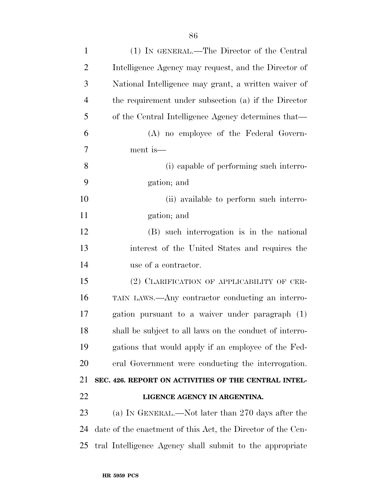| $\mathbf{1}$   | (1) IN GENERAL.—The Director of the Central                 |
|----------------|-------------------------------------------------------------|
| $\overline{2}$ | Intelligence Agency may request, and the Director of        |
| 3              | National Intelligence may grant, a written waiver of        |
| $\overline{4}$ | the requirement under subsection (a) if the Director        |
| 5              | of the Central Intelligence Agency determines that—         |
| 6              | (A) no employee of the Federal Govern-                      |
| 7              | ment is—                                                    |
| 8              | (i) capable of performing such interro-                     |
| 9              | gation; and                                                 |
| 10             | (ii) available to perform such interro-                     |
| 11             | gation; and                                                 |
| 12             | (B) such interrogation is in the national                   |
| 13             | interest of the United States and requires the              |
| 14             | use of a contractor.                                        |
| 15             | (2) CLARIFICATION OF APPLICABILITY OF CER-                  |
| 16             | TAIN LAWS.—Any contractor conducting an interro-            |
| 17             | gation pursuant to a waiver under paragraph (1)             |
| 18             | shall be subject to all laws on the conduct of interro-     |
| 19             | gations that would apply if an employee of the Fed-         |
| 20             | eral Government were conducting the interrogation.          |
| 21             | SEC. 426. REPORT ON ACTIVITIES OF THE CENTRAL INTEL-        |
| 22             | LIGENCE AGENCY IN ARGENTINA.                                |
| 23             | (a) IN GENERAL.—Not later than 270 days after the           |
| 24             | date of the enactment of this Act, the Director of the Cen- |
| 25             | tral Intelligence Agency shall submit to the appropriate    |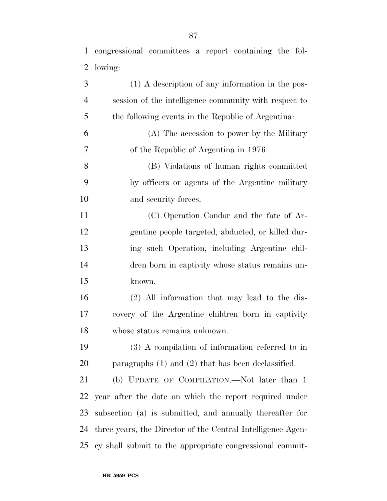congressional committees a report containing the fol- lowing: (1) A description of any information in the pos-

 session of the intelligence community with respect to the following events in the Republic of Argentina: (A) The accession to power by the Military of the Republic of Argentina in 1976. (B) Violations of human rights committed by officers or agents of the Argentine military and security forces. (C) Operation Condor and the fate of Ar- gentine people targeted, abducted, or killed dur- ing such Operation, including Argentine chil- dren born in captivity whose status remains un- known. (2) All information that may lead to the dis- covery of the Argentine children born in captivity whose status remains unknown. (3) A compilation of information referred to in paragraphs (1) and (2) that has been declassified. (b) UPDATE OF COMPILATION.—Not later than 1 year after the date on which the report required under subsection (a) is submitted, and annually thereafter for three years, the Director of the Central Intelligence Agen-cy shall submit to the appropriate congressional commit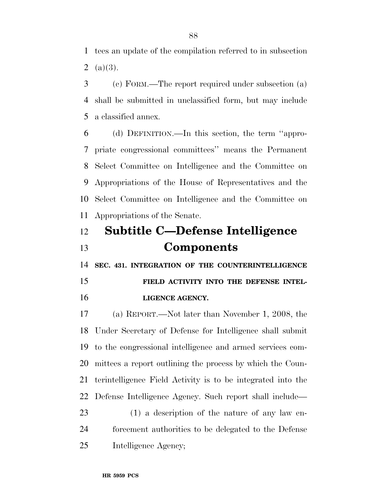tees an update of the compilation referred to in subsection 2  $(a)(3)$ .

 (c) FORM.—The report required under subsection (a) shall be submitted in unclassified form, but may include a classified annex.

 (d) DEFINITION.—In this section, the term ''appro- priate congressional committees'' means the Permanent Select Committee on Intelligence and the Committee on Appropriations of the House of Representatives and the Select Committee on Intelligence and the Committee on Appropriations of the Senate.

# **Subtitle C—Defense Intelligence Components**

**SEC. 431. INTEGRATION OF THE COUNTERINTELLIGENCE** 

 **FIELD ACTIVITY INTO THE DEFENSE INTEL-LIGENCE AGENCY.** 

 (a) REPORT.—Not later than November 1, 2008, the Under Secretary of Defense for Intelligence shall submit to the congressional intelligence and armed services com- mittees a report outlining the process by which the Coun- terintelligence Field Activity is to be integrated into the Defense Intelligence Agency. Such report shall include—

 (1) a description of the nature of any law en- forcement authorities to be delegated to the Defense Intelligence Agency;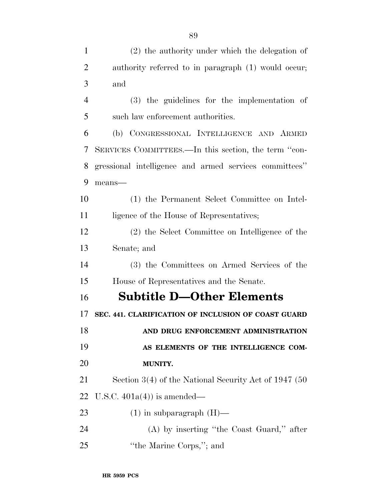| $\mathbf{1}$   | $(2)$ the authority under which the delegation of       |
|----------------|---------------------------------------------------------|
| $\overline{2}$ | authority referred to in paragraph (1) would occur;     |
| 3              | and                                                     |
| $\overline{4}$ | $(3)$ the guidelines for the implementation of          |
| 5              | such law enforcement authorities.                       |
| 6              | (b) CONGRESSIONAL INTELLIGENCE AND ARMED                |
| 7              | SERVICES COMMITTEES.—In this section, the term "con-    |
| 8              | gressional intelligence and armed services committees"  |
| 9              | means-                                                  |
| 10             | (1) the Permanent Select Committee on Intel-            |
| 11             | ligence of the House of Representatives;                |
| 12             | (2) the Select Committee on Intelligence of the         |
| 13             | Senate; and                                             |
| 14             | (3) the Committees on Armed Services of the             |
| 15             | House of Representatives and the Senate.                |
| 16             | <b>Subtitle D-Other Elements</b>                        |
| 17             | SEC. 441. CLARIFICATION OF INCLUSION OF COAST GUARD     |
| 18             | AND DRUG ENFORCEMENT ADMINISTRATION                     |
| 19             | AS ELEMENTS OF THE INTELLIGENCE COM-                    |
| 20             | MUNITY.                                                 |
| 21             | Section $3(4)$ of the National Security Act of 1947 (50 |
| 22             | U.S.C. $401a(4)$ is amended—                            |
| 23             | $(1)$ in subparagraph $(H)$ —                           |
| 24             | $(A)$ by inserting "the Coast Guard," after             |
| 25             | "the Marine Corps,"; and                                |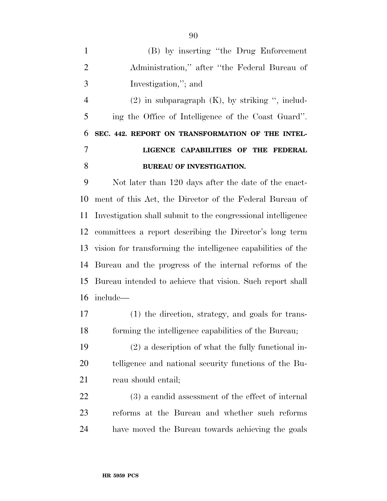(B) by inserting ''the Drug Enforcement Administration,'' after ''the Federal Bureau of Investigation,''; and

 (2) in subparagraph (K), by striking '', includ- ing the Office of Intelligence of the Coast Guard''. **SEC. 442. REPORT ON TRANSFORMATION OF THE INTEL- LIGENCE CAPABILITIES OF THE FEDERAL BUREAU OF INVESTIGATION.** 

 Not later than 120 days after the date of the enact- ment of this Act, the Director of the Federal Bureau of Investigation shall submit to the congressional intelligence committees a report describing the Director's long term vision for transforming the intelligence capabilities of the Bureau and the progress of the internal reforms of the Bureau intended to achieve that vision. Such report shall include—

 (1) the direction, strategy, and goals for trans-forming the intelligence capabilities of the Bureau;

 (2) a description of what the fully functional in- telligence and national security functions of the Bu-21 reau should entail;

 (3) a candid assessment of the effect of internal reforms at the Bureau and whether such reforms have moved the Bureau towards achieving the goals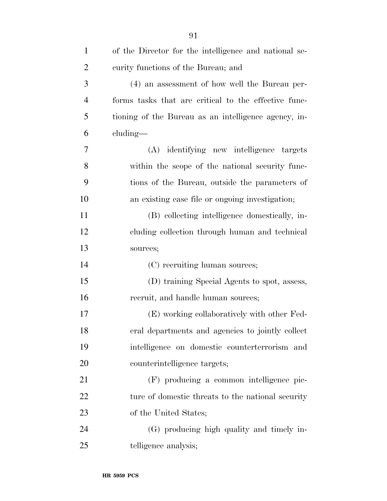| $\mathbf{1}$   | of the Director for the intelligence and national se- |
|----------------|-------------------------------------------------------|
| $\overline{2}$ | curity functions of the Bureau; and                   |
| 3              | (4) an assessment of how well the Bureau per-         |
| $\overline{4}$ | forms tasks that are critical to the effective func-  |
| 5              | tioning of the Bureau as an intelligence agency, in-  |
| 6              | cluding—                                              |
| 7              | (A) identifying new intelligence targets              |
| 8              | within the scope of the national security func-       |
| 9              | tions of the Bureau, outside the parameters of        |
| 10             | an existing case file or ongoing investigation;       |
| 11             | (B) collecting intelligence domestically, in-         |
| 12             | cluding collection through human and technical        |
| 13             | sources;                                              |
| 14             | (C) recruiting human sources;                         |
| 15             | (D) training Special Agents to spot, assess,          |
| 16             | recruit, and handle human sources;                    |
| 17             | (E) working collaboratively with other Fed-           |
| 18             | eral departments and agencies to jointly collect      |
| 19             | intelligence on domestic counterterrorism and         |
| 20             | counterintelligence targets;                          |
| 21             | (F) producing a common intelligence pic-              |
| 22             | ture of domestic threats to the national security     |
| 23             | of the United States;                                 |
| 24             | (G) producing high quality and timely in-             |
| 25             | telligence analysis;                                  |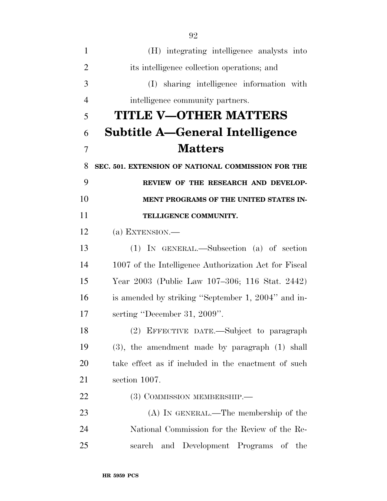| 1              | (H) integrating intelligence analysts into            |
|----------------|-------------------------------------------------------|
| $\overline{2}$ | its intelligence collection operations; and           |
| 3              | (I) sharing intelligence information with             |
| $\overline{4}$ | intelligence community partners.                      |
| 5              | TITLE V-OTHER MATTERS                                 |
| 6              | <b>Subtitle A-General Intelligence</b>                |
| 7              | <b>Matters</b>                                        |
| 8              | SEC. 501. EXTENSION OF NATIONAL COMMISSION FOR THE    |
| 9              | REVIEW OF THE RESEARCH AND DEVELOP-                   |
| 10             | MENT PROGRAMS OF THE UNITED STATES IN-                |
| 11             | TELLIGENCE COMMUNITY.                                 |
| 12             | (a) EXTENSION. $-$                                    |
| 13             | $(1)$ IN GENERAL.—Subsection $(a)$ of section         |
| 14             | 1007 of the Intelligence Authorization Act for Fiscal |
| 15             | Year 2003 (Public Law 107–306; 116 Stat. 2442)        |
| 16             | is amended by striking "September 1, 2004" and in-    |
| 17             | serting "December 31, 2009".                          |
| 18             | (2) EFFECTIVE DATE.—Subject to paragraph              |
| 19             | $(3)$ , the amendment made by paragraph $(1)$ shall   |
| 20             | take effect as if included in the enactment of such   |
| 21             | section 1007.                                         |
| 22             | (3) COMMISSION MEMBERSHIP.—                           |
| 23             | $(A)$ In GENERAL.—The membership of the               |
| 24             | National Commission for the Review of the Re-         |
| 25             | and Development Programs of the<br>search             |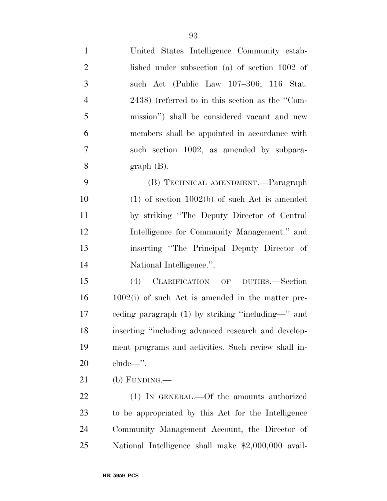| $\mathbf{1}$   | United States Intelligence Community estab-         |
|----------------|-----------------------------------------------------|
| $\overline{2}$ | lished under subsection $(a)$ of section 1002 of    |
| 3              | such Act (Public Law 107–306; 116 Stat.             |
| $\overline{4}$ | 2438) (referred to in this section as the "Com-     |
| 5              | mission") shall be considered vacant and new        |
| 6              | members shall be appointed in accordance with       |
| 7              | such section 1002, as amended by subpara-           |
| 8              | $graph(B)$ .                                        |
| 9              | (B) TECHNICAL AMENDMENT.—Paragraph                  |
| 10             | $(1)$ of section $1002(b)$ of such Act is amended   |
| 11             | by striking "The Deputy Director of Central"        |
| 12             | Intelligence for Community Management." and         |
| 13             | inserting "The Principal Deputy Director of         |
| 14             | National Intelligence.".                            |
| 15             | CLARIFICATION OF DUTIES.—Section<br>(4)             |
| 16             | $1002(i)$ of such Act is amended in the matter pre- |
| 17             | eeding paragraph (1) by striking "including—" and   |
| 18             | inserting "including advanced research and develop- |
| 19             | ment programs and activities. Such review shall in- |
| 20             | $clude$                                             |
| 21             | $(b)$ FUNDING.—                                     |
| 22             | (1) IN GENERAL.—Of the amounts authorized           |
| 23             | to be appropriated by this Act for the Intelligence |
| 24             | Community Management Account, the Director of       |
| 25             | National Intelligence shall make \$2,000,000 avail- |
|                |                                                     |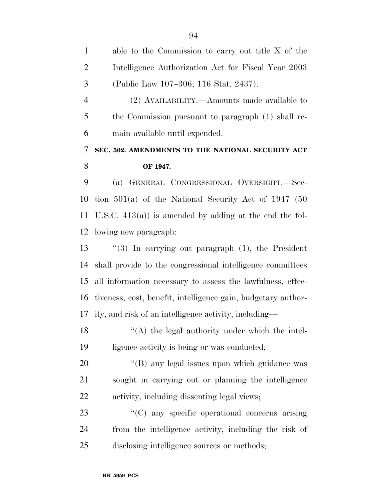| $\mathbf{1}$   | able to the Commission to carry out title $X$ of the          |
|----------------|---------------------------------------------------------------|
| $\overline{2}$ | Intelligence Authorization Act for Fiscal Year 2003           |
| 3              | (Public Law 107-306; 116 Stat. 2437).                         |
| $\overline{4}$ | (2) AVAILABILITY.—Amounts made available to                   |
| 5              | the Commission pursuant to paragraph (1) shall re-            |
| 6              | main available until expended.                                |
| 7              | SEC. 502. AMENDMENTS TO THE NATIONAL SECURITY ACT             |
| 8              | OF 1947.                                                      |
| 9              | (a) GENERAL CONGRESSIONAL OVERSIGHT.-Sec-                     |
| 10             | tion $501(a)$ of the National Security Act of 1947 (50        |
| 11             | U.S.C. $413(a)$ is amended by adding at the end the fol-      |
| 12             | lowing new paragraph:                                         |
| 13             | "(3) In carrying out paragraph $(1)$ , the President          |
| 14             | shall provide to the congressional intelligence committees    |
| 15             | all information necessary to assess the lawfulness, effec-    |
| 16             | tiveness, cost, benefit, intelligence gain, budgetary author- |
| 17             | ity, and risk of an intelligence activity, including—         |
| 18             | $\lq($ A) the legal authority under which the intel-          |
| 19             | ligence activity is being or was conducted;                   |
| 20             | "(B) any legal issues upon which guidance was                 |
| 21             | sought in carrying out or planning the intelligence           |
| 22             | activity, including dissenting legal views;                   |
| 23             | "(C) any specific operational concerns arising                |
| 24             | from the intelligence activity, including the risk of         |
| 25             | disclosing intelligence sources or methods;                   |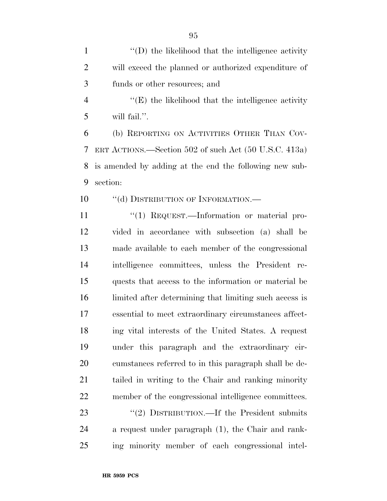1 ''(D) the likelihood that the intelligence activity will exceed the planned or authorized expenditure of funds or other resources; and

4 "(E) the likelihood that the intelligence activity will fail.''.

 (b) REPORTING ON ACTIVITIES OTHER THAN COV- ERT ACTIONS.—Section 502 of such Act (50 U.S.C. 413a) is amended by adding at the end the following new sub-section:

10 "(d) DISTRIBUTION OF INFORMATION.—

11 "(1) REQUEST.—Information or material pro- vided in accordance with subsection (a) shall be made available to each member of the congressional intelligence committees, unless the President re- quests that access to the information or material be limited after determining that limiting such access is essential to meet extraordinary circumstances affect- ing vital interests of the United States. A request under this paragraph and the extraordinary cir- cumstances referred to in this paragraph shall be de- tailed in writing to the Chair and ranking minority member of the congressional intelligence committees. 23 "(2) DISTRIBUTION.—If the President submits a request under paragraph (1), the Chair and rank-

ing minority member of each congressional intel-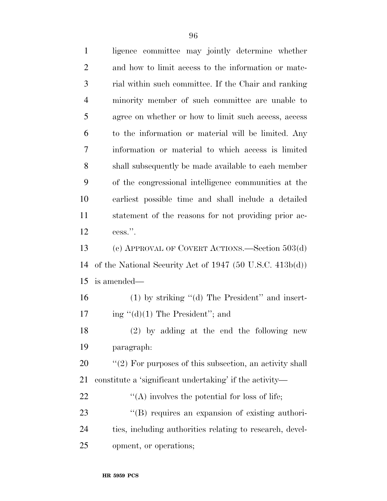| $\mathbf{1}$   | ligence committee may jointly determine whether               |
|----------------|---------------------------------------------------------------|
| $\overline{2}$ | and how to limit access to the information or mate-           |
| 3              | rial within such committee. If the Chair and ranking          |
| $\overline{4}$ | minority member of such committee are unable to               |
| 5              | agree on whether or how to limit such access, access          |
| 6              | to the information or material will be limited. Any           |
| 7              | information or material to which access is limited            |
| 8              | shall subsequently be made available to each member           |
| 9              | of the congressional intelligence communities at the          |
| 10             | earliest possible time and shall include a detailed           |
| 11             | statement of the reasons for not providing prior ac-          |
| 12             | cess.".                                                       |
| 13             | (c) APPROVAL OF COVERT ACTIONS.—Section 503(d)                |
| 14             | of the National Security Act of $1947$ (50 U.S.C. $413b(d)$ ) |
| 15             | is amended—                                                   |
| 16             | $(1)$ by striking " $(d)$ The President" and insert-          |
| 17             | ing " $(d)(1)$ The President"; and                            |
| 18             | (2) by adding at the end the following new                    |
| 19             | paragraph:                                                    |
| 20             | $"(2)$ For purposes of this subsection, an activity shall     |
| 21             | constitute a 'significant undertaking' if the activity—       |
| 22             | "(A) involves the potential for loss of life;                 |
| 23             | "(B) requires an expansion of existing authori-               |
| 24             | ties, including authorities relating to research, devel-      |
| 25             | opment, or operations;                                        |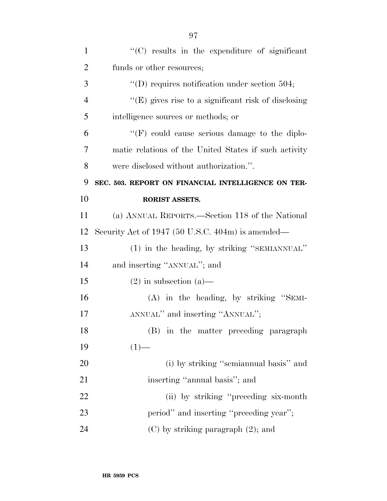| $\mathbf{1}$   | "(C) results in the expenditure of significant         |
|----------------|--------------------------------------------------------|
| $\overline{2}$ | funds or other resources;                              |
| 3              | "(D) requires notification under section 504;          |
| $\overline{4}$ | " $(E)$ gives rise to a significant risk of disclosing |
| 5              | intelligence sources or methods; or                    |
| 6              | $\lq\lq(F)$ could cause serious damage to the diplo-   |
| 7              | matic relations of the United States if such activity  |
| 8              | were disclosed without authorization.".                |
| 9              | SEC. 503. REPORT ON FINANCIAL INTELLIGENCE ON TER-     |
| 10             | RORIST ASSETS.                                         |
| 11             | (a) ANNUAL REPORTS.—Section 118 of the National        |
| 12             | Security Act of 1947 (50 U.S.C. 404m) is amended—      |
| 13             | (1) in the heading, by striking "SEMIANNUAL"           |
| 14             | and inserting "ANNUAL"; and                            |
| 15             | $(2)$ in subsection $(a)$ —                            |
| 16             | $(A)$ in the heading, by striking "SEMI-               |
| 17             | ANNUAL" and inserting "ANNUAL";                        |
| 18             |                                                        |
|                | (B)<br>in the matter preceding paragraph               |
| 19             | $(1)$ —                                                |
| 20             | (i) by striking "semian nual basis" and                |
| 21             | inserting "annual basis"; and                          |
| 22             | (ii) by striking "preceding six-month"                 |
| 23             | period" and inserting "preceding year";                |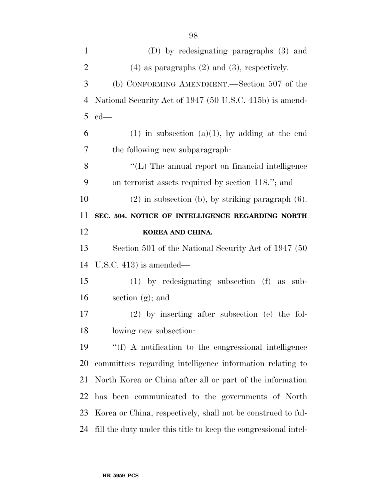| $\mathbf{1}$   | (D) by redesignating paragraphs (3) and                      |
|----------------|--------------------------------------------------------------|
| $\overline{2}$ | $(4)$ as paragraphs $(2)$ and $(3)$ , respectively.          |
| 3              | (b) CONFORMING AMENDMENT.—Section 507 of the                 |
| $\overline{4}$ | National Security Act of 1947 (50 U.S.C. 415b) is amend-     |
| 5              | $ed$ —                                                       |
| 6              | $(1)$ in subsection $(a)(1)$ , by adding at the end          |
| 7              | the following new subparagraph:                              |
| 8              | $\lq\lq$ (L) The annual report on financial intelligence     |
| 9              | on terrorist assets required by section 118."; and           |
| 10             | $(2)$ in subsection (b), by striking paragraph $(6)$ .       |
| 11             | SEC. 504. NOTICE OF INTELLIGENCE REGARDING NORTH             |
|                |                                                              |
|                | KOREA AND CHINA.                                             |
|                | Section 501 of the National Security Act of 1947 (50)        |
| 12<br>13<br>14 | U.S.C. 413) is amended—                                      |
| 15             | $(1)$ by redesignating subsection $(f)$ as<br>sub-           |
| 16             | section $(g)$ ; and                                          |
| 17             | $(2)$ by inserting after subsection (e) the fol-             |
|                | lowing new subsection:                                       |
|                | $\lq\lq(f)$ A notification to the congressional intelligence |
| 18<br>19<br>20 | committees regarding intelligence information relating to    |
| 21             | North Korea or China after all or part of the information    |
| 22             | has been communicated to the governments of North            |
| 23             | Korea or China, respectively, shall not be construed to ful- |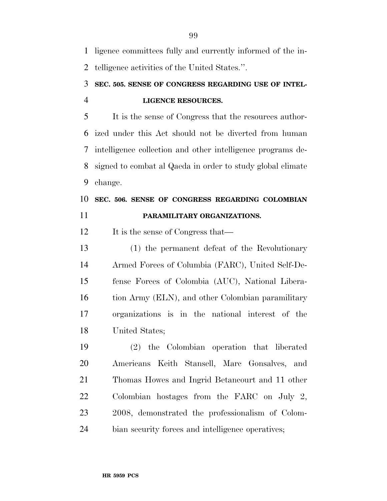ligence committees fully and currently informed of the in-telligence activities of the United States.''.

## **SEC. 505. SENSE OF CONGRESS REGARDING USE OF INTEL-LIGENCE RESOURCES.**

 It is the sense of Congress that the resources author- ized under this Act should not be diverted from human intelligence collection and other intelligence programs de- signed to combat al Qaeda in order to study global climate change.

## **SEC. 506. SENSE OF CONGRESS REGARDING COLOMBIAN PARAMILITARY ORGANIZATIONS.**

12 It is the sense of Congress that—

 (1) the permanent defeat of the Revolutionary Armed Forces of Columbia (FARC), United Self-De- fense Forces of Colombia (AUC), National Libera-16 tion Army (ELN), and other Colombian paramilitary organizations is in the national interest of the United States;

 (2) the Colombian operation that liberated Americans Keith Stansell, Marc Gonsalves, and Thomas Howes and Ingrid Betancourt and 11 other Colombian hostages from the FARC on July 2, 2008, demonstrated the professionalism of Colom-bian security forces and intelligence operatives;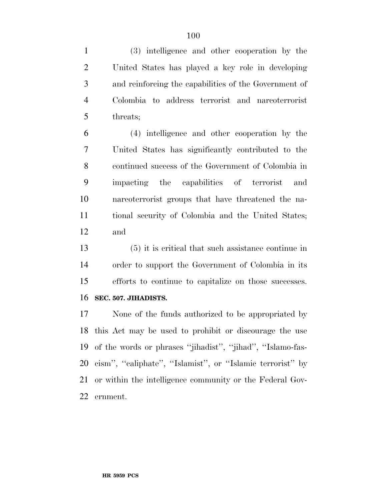(3) intelligence and other cooperation by the United States has played a key role in developing and reinforcing the capabilities of the Government of Colombia to address terrorist and narcoterrorist threats;

 (4) intelligence and other cooperation by the United States has significantly contributed to the continued success of the Government of Colombia in impacting the capabilities of terrorist and narcoterrorist groups that have threatened the na- tional security of Colombia and the United States; and

 (5) it is critical that such assistance continue in order to support the Government of Colombia in its efforts to continue to capitalize on those successes. **SEC. 507. JIHADISTS.** 

 None of the funds authorized to be appropriated by this Act may be used to prohibit or discourage the use of the words or phrases ''jihadist'', ''jihad'', ''Islamo-fas- cism'', ''caliphate'', ''Islamist'', or ''Islamic terrorist'' by or within the intelligence community or the Federal Gov-ernment.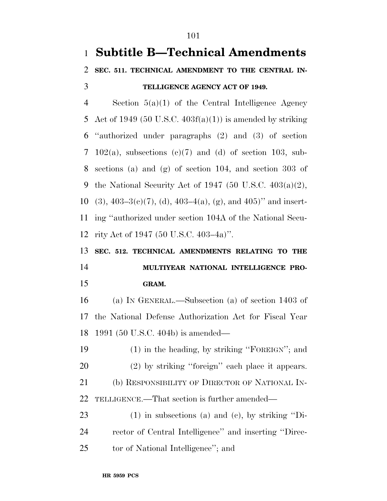# **Subtitle B—Technical Amendments SEC. 511. TECHNICAL AMENDMENT TO THE CENTRAL IN- TELLIGENCE AGENCY ACT OF 1949.**  Section 5(a)(1) of the Central Intelligence Agency

5 Act of 1949 (50 U.S.C.  $403f(a)(1)$ ) is amended by striking ''authorized under paragraphs (2) and (3) of section 7 102(a), subsections  $(c)(7)$  and  $(d)$  of section 103, sub- sections (a) and (g) of section 104, and section 303 of 9 the National Security Act of 1947 (50 U.S.C.  $403(a)(2)$ , 10 (3),  $403-3(e)(7)$ , (d),  $403-4(a)$ , (g), and  $405$ )" and insert- ing ''authorized under section 104A of the National Secu-rity Act of 1947 (50 U.S.C. 403–4a)''.

# **SEC. 512. TECHNICAL AMENDMENTS RELATING TO THE MULTIYEAR NATIONAL INTELLIGENCE PRO-GRAM.**

 (a) IN GENERAL.—Subsection (a) of section 1403 of the National Defense Authorization Act for Fiscal Year 1991 (50 U.S.C. 404b) is amended—

 (1) in the heading, by striking ''FOREIGN''; and (2) by striking ''foreign'' each place it appears. (b) RESPONSIBILITY OF DIRECTOR OF NATIONAL IN-TELLIGENCE.—That section is further amended—

 (1) in subsections (a) and (c), by striking ''Di- rector of Central Intelligence'' and inserting ''Direc-tor of National Intelligence''; and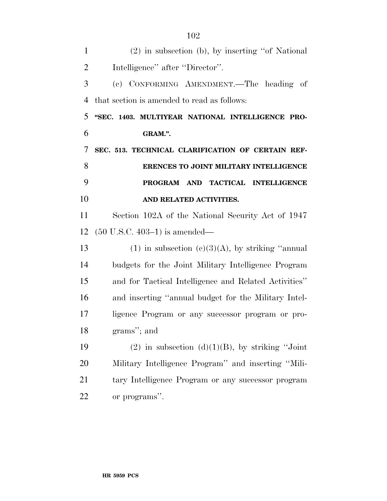| $\mathbf{1}$   | $(2)$ in subsection (b), by inserting "of National"   |
|----------------|-------------------------------------------------------|
| $\overline{2}$ | Intelligence" after "Director".                       |
| 3              | (c) CONFORMING AMENDMENT.—The heading of              |
| $\overline{4}$ | that section is amended to read as follows:           |
| 5              | "SEC. 1403. MULTIYEAR NATIONAL INTELLIGENCE PRO-      |
| 6              | GRAM.".                                               |
| 7              | SEC. 513. TECHNICAL CLARIFICATION OF CERTAIN REF-     |
| 8              | ERENCES TO JOINT MILITARY INTELLIGENCE                |
| 9              | PROGRAM AND TACTICAL INTELLIGENCE                     |
| 10             | AND RELATED ACTIVITIES.                               |
| 11             | Section 102A of the National Security Act of 1947     |
| 12             | $(50 \text{ U.S.C. } 403-1)$ is amended—              |
| 13             | (1) in subsection (c)(3)(A), by striking "annual      |
| 14             | budgets for the Joint Military Intelligence Program   |
| 15             | and for Tactical Intelligence and Related Activities" |
| 16             | and inserting "annual budget for the Military Intel-  |
| 17             | ligence Program or any successor program or pro-      |
| 18             | grams"; and                                           |
| 19             | (2) in subsection (d) $(1)(B)$ , by striking "Joint"  |
| 20             | Military Intelligence Program" and inserting "Mili-   |
| 21             | tary Intelligence Program or any successor program    |
| 22             | or programs".                                         |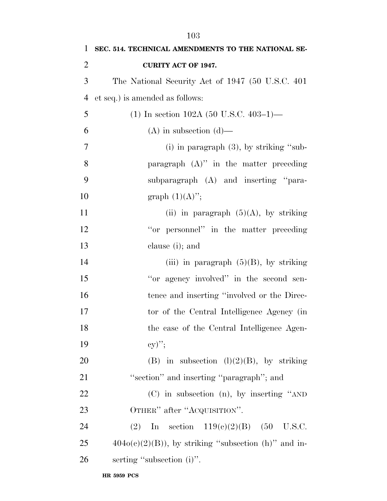| $\mathbf{1}$   | SEC. 514. TECHNICAL AMENDMENTS TO THE NATIONAL SE-     |
|----------------|--------------------------------------------------------|
| $\overline{2}$ | <b>CURITY ACT OF 1947.</b>                             |
| 3              | The National Security Act of 1947 (50 U.S.C. 401)      |
| $\overline{4}$ | et seq.) is amended as follows:                        |
| 5              | (1) In section 102A (50 U.S.C. 403-1)—                 |
| 6              | $(A)$ in subsection $(d)$ —                            |
| $\tau$         | (i) in paragraph $(3)$ , by striking "sub-             |
| 8              | paragraph $(A)$ " in the matter preceding              |
| 9              | subparagraph (A) and inserting "para-                  |
| 10             | graph $(1)(A)$ ";                                      |
| 11             | (ii) in paragraph $(5)(A)$ , by striking               |
| 12             | "or personnel" in the matter preceding                 |
| 13             | clause (i); and                                        |
| 14             | (iii) in paragraph $(5)(B)$ , by striking              |
| 15             | "or agency involved" in the second sen-                |
| 16             | tence and inserting "involved or the Direc-            |
| 17             | tor of the Central Intelligence Agency (in             |
| 18             | the case of the Central Intelligence Agen-             |
| 19             | $\mathrm{cy})"$                                        |
| 20             | (B) in subsection $(l)(2)(B)$ , by striking            |
| 21             | "section" and inserting "paragraph"; and               |
| 22             | (C) in subsection (n), by inserting "AND               |
| 23             | OTHER" after "ACQUISITION".                            |
| 24             | (2) In section $119(c)(2)(B)$ (50 U.S.C.               |
| 25             | $404o(c)(2)(B)$ , by striking "subsection (h)" and in- |
| 26             | serting "subsection (i)".                              |
|                |                                                        |

**HR 5959 PCS**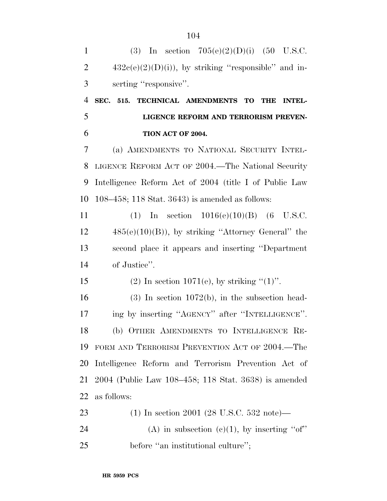1 (3) In section  $705(e)(2)(D)(i)$  (50 U.S.C.  $432c(e)(2)(D)(i)$ , by striking "responsible" and in- serting ''responsive''. **SEC. 515. TECHNICAL AMENDMENTS TO THE INTEL- LIGENCE REFORM AND TERRORISM PREVEN- TION ACT OF 2004.**  (a) AMENDMENTS TO NATIONAL SECURITY INTEL- LIGENCE REFORM ACT OF 2004.—The National Security Intelligence Reform Act of 2004 (title I of Public Law 108–458; 118 Stat. 3643) is amended as follows: (1) In section 1016(e)(10)(B) (6 U.S.C. 485(e)(10)(B)), by striking ''Attorney General'' the second place it appears and inserting ''Department of Justice''. 15 (2) In section 1071(e), by striking  $(1)$ ". (3) In section 1072(b), in the subsection head-17 ing by inserting "AGENCY" after "INTELLIGENCE". (b) OTHER AMENDMENTS TO INTELLIGENCE RE- FORM AND TERRORISM PREVENTION ACT OF 2004.—The Intelligence Reform and Terrorism Prevention Act of 2004 (Public Law 108–458; 118 Stat. 3638) is amended as follows: (1) In section 2001 (28 U.S.C. 532 note)— 24 (A) in subsection  $(e)(1)$ , by inserting "of" 25 before "an institutional culture";

**HR 5959 PCS**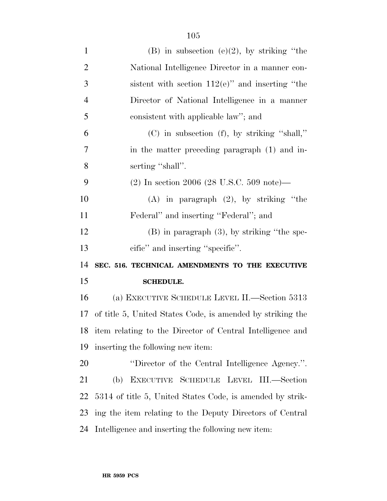| $\mathbf{1}$         | (B) in subsection (e)(2), by striking "the                   |
|----------------------|--------------------------------------------------------------|
| $\overline{2}$       | National Intelligence Director in a manner con-              |
| 3                    | sistent with section $112(e)$ " and inserting "the           |
| $\overline{4}$       | Director of National Intelligence in a manner                |
| 5                    | consistent with applicable law"; and                         |
| 6                    | $(C)$ in subsection $(f)$ , by striking "shall,"             |
| $\overline{7}$       | in the matter preceding paragraph (1) and in-                |
| 8                    | serting "shall".                                             |
| 9                    | $(2)$ In section 2006 (28 U.S.C. 509 note)—                  |
| 10                   | $(A)$ in paragraph $(2)$ , by striking "the                  |
| 11                   | Federal" and inserting "Federal"; and                        |
| 12                   | $(B)$ in paragraph $(3)$ , by striking "the spe-             |
|                      |                                                              |
|                      | cific" and inserting "specific".                             |
|                      | SEC. 516. TECHNICAL AMENDMENTS TO THE EXECUTIVE              |
|                      | <b>SCHEDULE.</b>                                             |
| 13<br>14<br>15<br>16 | (a) EXECUTIVE SCHEDULE LEVEL II.—Section 5313                |
| 17                   | of title 5, United States Code, is amended by striking the   |
|                      | 18 item relating to the Director of Central Intelligence and |
| 19                   | inserting the following new item:                            |
|                      | "Director of the Central Intelligence Agency.".              |
| 20<br>21             | (b) EXECUTIVE SCHEDULE LEVEL III.—Section                    |
| 22                   | 5314 of title 5, United States Code, is amended by strik-    |
| 23                   | ing the item relating to the Deputy Directors of Central     |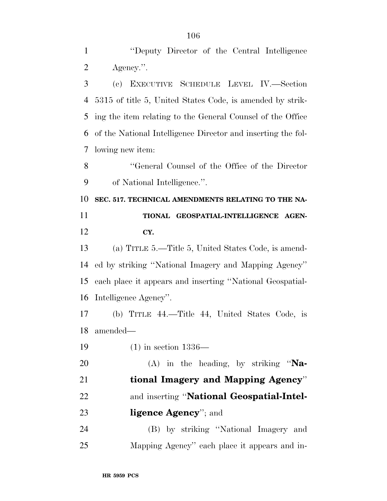2 Agency.". (c) EXECUTIVE SCHEDULE LEVEL IV.—Section 5315 of title 5, United States Code, is amended by strik- ing the item relating to the General Counsel of the Office of the National Intelligence Director and inserting the fol- lowing new item: ''General Counsel of the Office of the Director of National Intelligence.''. **SEC. 517. TECHNICAL AMENDMENTS RELATING TO THE NA- TIONAL GEOSPATIAL-INTELLIGENCE AGEN- CY.**  (a) TITLE 5.—Title 5, United States Code, is amend- ed by striking ''National Imagery and Mapping Agency'' each place it appears and inserting ''National Geospatial- Intelligence Agency''. (b) TITLE 44.—Title 44, United States Code, is amended— (1) in section 1336— (A) in the heading, by striking ''**Na- tional Imagery and Mapping Agency**'' and inserting ''**National Geospatial-Intel-ligence Agency**''; and

 (B) by striking ''National Imagery and Mapping Agency'' each place it appears and in-

''Deputy Director of the Central Intelligence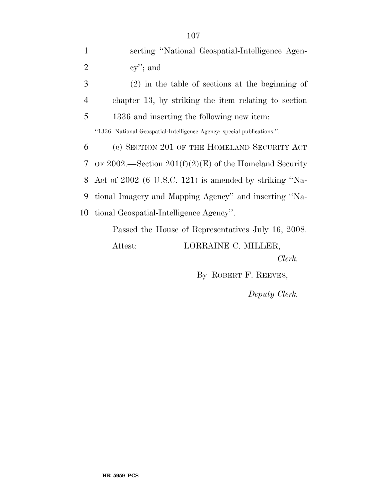| 1              | serting "National Geospatial-Intelligence Agen-                         |
|----------------|-------------------------------------------------------------------------|
| $\overline{2}$ | $cy$ "; and                                                             |
| 3              | $(2)$ in the table of sections at the beginning of                      |
| $\overline{4}$ | chapter 13, by striking the item relating to section                    |
| 5              | 1336 and inserting the following new item:                              |
|                | "1336. National Geospatial-Intelligence Agency: special publications.". |
| 6              | (c) SECTION 201 OF THE HOMELAND SECURITY ACT                            |
| 7              | OF 2002.—Section $201(f)(2)(E)$ of the Homeland Security                |
| 8              | Act of 2002 (6 U.S.C. 121) is amended by striking "Na-                  |
| 9              | tional Imagery and Mapping Agency" and inserting "Na-                   |
| 10             | tional Geospatial-Intelligence Agency".                                 |
|                | Passed the House of Representatives July 16, 2008.                      |
|                | LORRAINE C. MILLER,<br>Attest:                                          |
|                | Clerk.                                                                  |

By ROBERT F. REEVES,

*Deputy Clerk.*